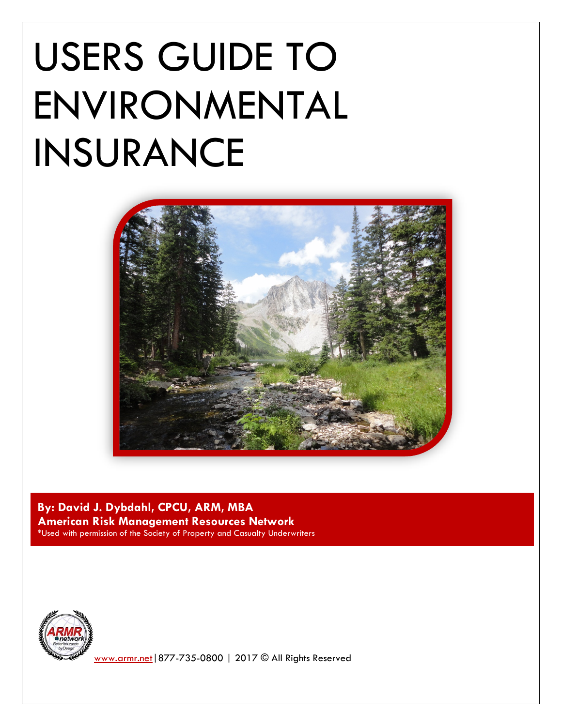# USERS GUIDE TO ENVIRONMENTAL INSURANCE



**By: David J. Dybdahl, CPCU, ARM, MBA American Risk Management Resources Network**

\*Used with permission of the Society of Property and Casualty Underwriters



[www.armr.net|](http://www.armr.net/)877-735-0800 | 2017 © All Rights Reserved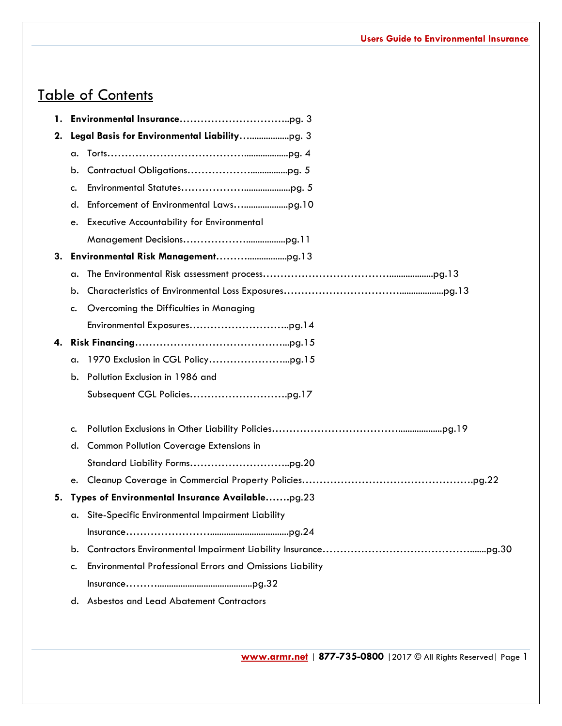## Table of Contents

| 1. |                                                 |                                                           |  |
|----|-------------------------------------------------|-----------------------------------------------------------|--|
| 2. |                                                 |                                                           |  |
|    | a.                                              |                                                           |  |
|    | b.                                              |                                                           |  |
|    | c.                                              |                                                           |  |
|    | d.                                              |                                                           |  |
|    | e.                                              | <b>Executive Accountability for Environmental</b>         |  |
|    |                                                 |                                                           |  |
|    |                                                 |                                                           |  |
|    | a.                                              |                                                           |  |
|    | b.                                              |                                                           |  |
|    | c.                                              | Overcoming the Difficulties in Managing                   |  |
|    |                                                 |                                                           |  |
|    |                                                 |                                                           |  |
|    | a.                                              |                                                           |  |
|    | b.                                              | Pollution Exclusion in 1986 and                           |  |
|    |                                                 |                                                           |  |
|    | c.                                              |                                                           |  |
|    | d.                                              | <b>Common Pollution Coverage Extensions in</b>            |  |
|    |                                                 |                                                           |  |
|    | e.                                              |                                                           |  |
| 5. | Types of Environmental Insurance Availablepg.23 |                                                           |  |
|    |                                                 | a. Site-Specific Environmental Impairment Liability       |  |
|    |                                                 |                                                           |  |
|    | b.                                              |                                                           |  |
|    | c.                                              | Environmental Professional Errors and Omissions Liability |  |
|    |                                                 |                                                           |  |
|    | d.                                              | Asbestos and Lead Abatement Contractors                   |  |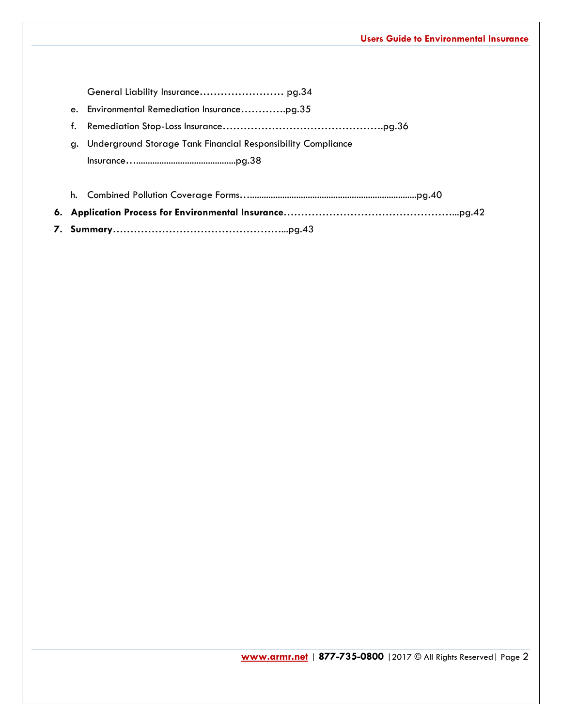General Liability Insurance…………………… pg.34 e. Environmental Remediation Insurance………….pg.35 f. Remediation Stop-Loss Insurance……………………………………….pg.36 g. Underground Storage Tank Financial Responsibility Compliance Insurance…...........................................pg.38 h. Combined Pollution Coverage Forms…........................................................................pg.40 **6. Application Process for Environmental Insurance**…………………………………………...pg.42

**7. Summary**…………………………………………...pg.43

**[www.armr.net](http://www.armr.net/)** | **877-735-0800** |2017 © All Rights Reserved| Page 2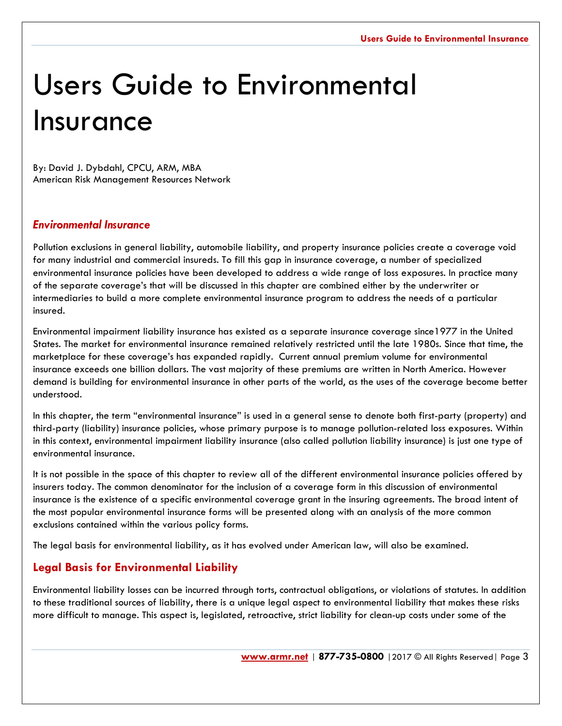## Users Guide to Environmental Insurance

By: David J. Dybdahl, CPCU, ARM, MBA American Risk Management Resources Network

## *Environmental Insurance*

Pollution exclusions in general liability, automobile liability, and property insurance policies create a coverage void for many industrial and commercial insureds. To fill this gap in insurance coverage, a number of specialized environmental insurance policies have been developed to address a wide range of loss exposures. In practice many of the separate coverage's that will be discussed in this chapter are combined either by the underwriter or intermediaries to build a more complete environmental insurance program to address the needs of a particular insured.

Environmental impairment liability insurance has existed as a separate insurance coverage since1977 in the United States. The market for environmental insurance remained relatively restricted until the late 1980s. Since that time, the marketplace for these coverage's has expanded rapidly. Current annual premium volume for environmental insurance exceeds one billion dollars. The vast majority of these premiums are written in North America. However demand is building for environmental insurance in other parts of the world, as the uses of the coverage become better understood.

In this chapter, the term "environmental insurance" is used in a general sense to denote both first-party (property) and third-party (liability) insurance policies, whose primary purpose is to manage pollution-related loss exposures. Within in this context, environmental impairment liability insurance (also called pollution liability insurance) is just one type of environmental insurance.

It is not possible in the space of this chapter to review all of the different environmental insurance policies offered by insurers today. The common denominator for the inclusion of a coverage form in this discussion of environmental insurance is the existence of a specific environmental coverage grant in the insuring agreements. The broad intent of the most popular environmental insurance forms will be presented along with an analysis of the more common exclusions contained within the various policy forms.

The legal basis for environmental liability, as it has evolved under American law, will also be examined.

## **Legal Basis for Environmental Liability**

Environmental liability losses can be incurred through torts, contractual obligations, or violations of statutes. In addition to these traditional sources of liability, there is a unique legal aspect to environmental liability that makes these risks more difficult to manage. This aspect is, legislated, retroactive, strict liability for clean-up costs under some of the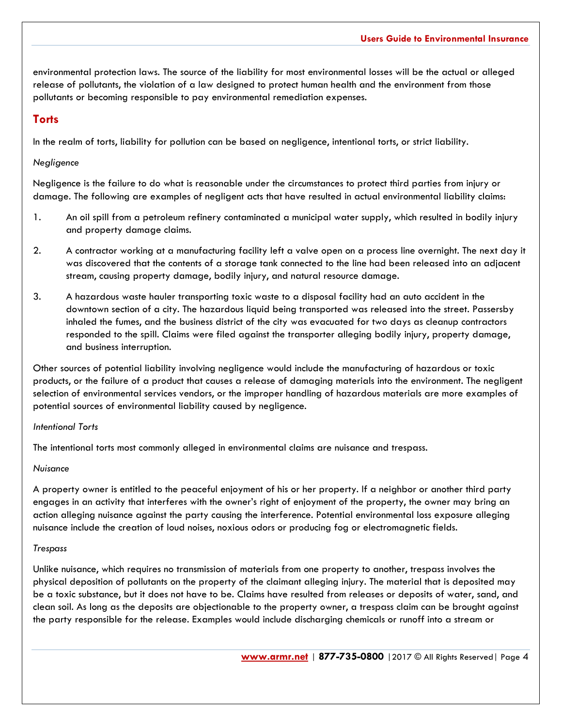environmental protection laws. The source of the liability for most environmental losses will be the actual or alleged release of pollutants, the violation of a law designed to protect human health and the environment from those pollutants or becoming responsible to pay environmental remediation expenses.

## **Torts**

In the realm of torts, liability for pollution can be based on negligence, intentional torts, or strict liability.

#### *Negligence*

Negligence is the failure to do what is reasonable under the circumstances to protect third parties from injury or damage. The following are examples of negligent acts that have resulted in actual environmental liability claims:

- 1. An oil spill from a petroleum refinery contaminated a municipal water supply, which resulted in bodily injury and property damage claims.
- 2. A contractor working at a manufacturing facility left a valve open on a process line overnight. The next day it was discovered that the contents of a storage tank connected to the line had been released into an adjacent stream, causing property damage, bodily injury, and natural resource damage.
- 3. A hazardous waste hauler transporting toxic waste to a disposal facility had an auto accident in the downtown section of a city. The hazardous liquid being transported was released into the street. Passersby inhaled the fumes, and the business district of the city was evacuated for two days as cleanup contractors responded to the spill. Claims were filed against the transporter alleging bodily injury, property damage, and business interruption.

Other sources of potential liability involving negligence would include the manufacturing of hazardous or toxic products, or the failure of a product that causes a release of damaging materials into the environment. The negligent selection of environmental services vendors, or the improper handling of hazardous materials are more examples of potential sources of environmental liability caused by negligence.

#### *Intentional Torts*

The intentional torts most commonly alleged in environmental claims are nuisance and trespass.

#### *Nuisance*

A property owner is entitled to the peaceful enjoyment of his or her property. If a neighbor or another third party engages in an activity that interferes with the owner's right of enjoyment of the property, the owner may bring an action alleging nuisance against the party causing the interference. Potential environmental loss exposure alleging nuisance include the creation of loud noises, noxious odors or producing fog or electromagnetic fields.

#### *Trespass*

Unlike nuisance, which requires no transmission of materials from one property to another, trespass involves the physical deposition of pollutants on the property of the claimant alleging injury. The material that is deposited may be a toxic substance, but it does not have to be. Claims have resulted from releases or deposits of water, sand, and clean soil. As long as the deposits are objectionable to the property owner, a trespass claim can be brought against the party responsible for the release. Examples would include discharging chemicals or runoff into a stream or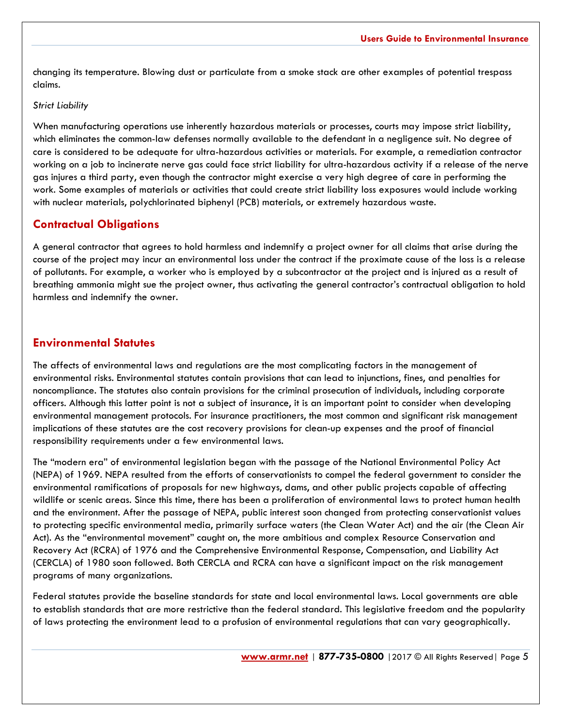changing its temperature. Blowing dust or particulate from a smoke stack are other examples of potential trespass claims.

#### *Strict Liability*

When manufacturing operations use inherently hazardous materials or processes, courts may impose strict liability, which eliminates the common-law defenses normally available to the defendant in a negligence suit. No degree of care is considered to be adequate for ultra-hazardous activities or materials. For example, a remediation contractor working on a job to incinerate nerve gas could face strict liability for ultra-hazardous activity if a release of the nerve gas injures a third party, even though the contractor might exercise a very high degree of care in performing the work. Some examples of materials or activities that could create strict liability loss exposures would include working with nuclear materials, polychlorinated biphenyl (PCB) materials, or extremely hazardous waste.

## **Contractual Obligations**

A general contractor that agrees to hold harmless and indemnify a project owner for all claims that arise during the course of the project may incur an environmental loss under the contract if the proximate cause of the loss is a release of pollutants. For example, a worker who is employed by a subcontractor at the project and is injured as a result of breathing ammonia might sue the project owner, thus activating the general contractor's contractual obligation to hold harmless and indemnify the owner.

## **Environmental Statutes**

The affects of environmental laws and regulations are the most complicating factors in the management of environmental risks. Environmental statutes contain provisions that can lead to injunctions, fines, and penalties for noncompliance. The statutes also contain provisions for the criminal prosecution of individuals, including corporate officers. Although this latter point is not a subject of insurance, it is an important point to consider when developing environmental management protocols. For insurance practitioners, the most common and significant risk management implications of these statutes are the cost recovery provisions for clean-up expenses and the proof of financial responsibility requirements under a few environmental laws.

The "modern era" of environmental legislation began with the passage of the National Environmental Policy Act (NEPA) of 1969. NEPA resulted from the efforts of conservationists to compel the federal government to consider the environmental ramifications of proposals for new highways, dams, and other public projects capable of affecting wildlife or scenic areas. Since this time, there has been a proliferation of environmental laws to protect human health and the environment. After the passage of NEPA, public interest soon changed from protecting conservationist values to protecting specific environmental media, primarily surface waters (the Clean Water Act) and the air (the Clean Air Act). As the "environmental movement" caught on, the more ambitious and complex Resource Conservation and Recovery Act (RCRA) of 1976 and the Comprehensive Environmental Response, Compensation, and Liability Act (CERCLA) of 1980 soon followed. Both CERCLA and RCRA can have a significant impact on the risk management programs of many organizations.

Federal statutes provide the baseline standards for state and local environmental laws. Local governments are able to establish standards that are more restrictive than the federal standard. This legislative freedom and the popularity of laws protecting the environment lead to a profusion of environmental regulations that can vary geographically.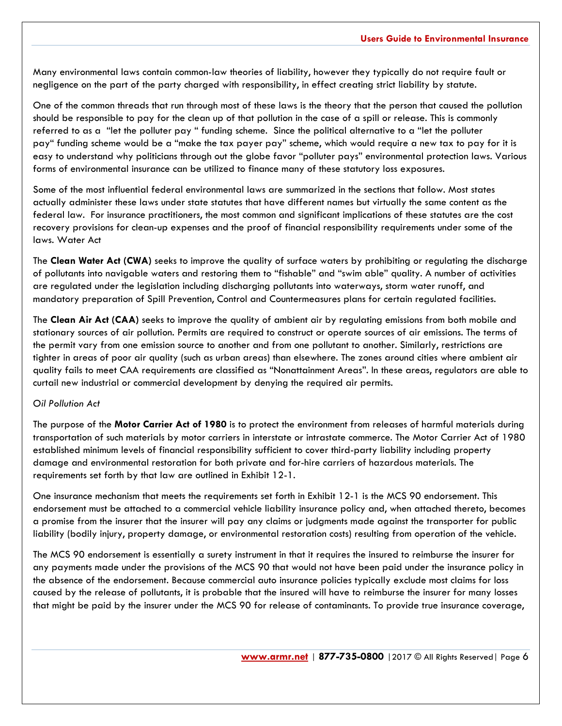Many environmental laws contain common-law theories of liability, however they typically do not require fault or negligence on the part of the party charged with responsibility, in effect creating strict liability by statute.

One of the common threads that run through most of these laws is the theory that the person that caused the pollution should be responsible to pay for the clean up of that pollution in the case of a spill or release. This is commonly referred to as a "let the polluter pay " funding scheme. Since the political alternative to a "let the polluter pay" funding scheme would be a "make the tax payer pay" scheme, which would require a new tax to pay for it is easy to understand why politicians through out the globe favor "polluter pays" environmental protection laws. Various forms of environmental insurance can be utilized to finance many of these statutory loss exposures.

Some of the most influential federal environmental laws are summarized in the sections that follow. Most states actually administer these laws under state statutes that have different names but virtually the same content as the federal law. For insurance practitioners, the most common and significant implications of these statutes are the cost recovery provisions for clean-up expenses and the proof of financial responsibility requirements under some of the laws. Water Act

The **Clean Water Act (CWA)** seeks to improve the quality of surface waters by prohibiting or regulating the discharge of pollutants into navigable waters and restoring them to "fishable" and "swim able" quality. A number of activities are regulated under the legislation including discharging pollutants into waterways, storm water runoff, and mandatory preparation of Spill Prevention, Control and Countermeasures plans for certain regulated facilities.

The **Clean Air Act (CAA)** seeks to improve the quality of ambient air by regulating emissions from both mobile and stationary sources of air pollution. Permits are required to construct or operate sources of air emissions. The terms of the permit vary from one emission source to another and from one pollutant to another. Similarly, restrictions are tighter in areas of poor air quality (such as urban areas) than elsewhere. The zones around cities where ambient air quality fails to meet CAA requirements are classified as "Nonattainment Areas". In these areas, regulators are able to curtail new industrial or commercial development by denying the required air permits.

#### *Oil Pollution Act*

The purpose of the **Motor Carrier Act of 1980** is to protect the environment from releases of harmful materials during transportation of such materials by motor carriers in interstate or intrastate commerce. The Motor Carrier Act of 1980 established minimum levels of financial responsibility sufficient to cover third-party liability including property damage and environmental restoration for both private and for-hire carriers of hazardous materials. The requirements set forth by that law are outlined in Exhibit 12-1.

One insurance mechanism that meets the requirements set forth in Exhibit 12-1 is the MCS 90 endorsement. This endorsement must be attached to a commercial vehicle liability insurance policy and, when attached thereto, becomes a promise from the insurer that the insurer will pay any claims or judgments made against the transporter for public liability (bodily injury, property damage, or environmental restoration costs) resulting from operation of the vehicle.

The MCS 90 endorsement is essentially a surety instrument in that it requires the insured to reimburse the insurer for any payments made under the provisions of the MCS 90 that would not have been paid under the insurance policy in the absence of the endorsement. Because commercial auto insurance policies typically exclude most claims for loss caused by the release of pollutants, it is probable that the insured will have to reimburse the insurer for many losses that might be paid by the insurer under the MCS 90 for release of contaminants. To provide true insurance coverage,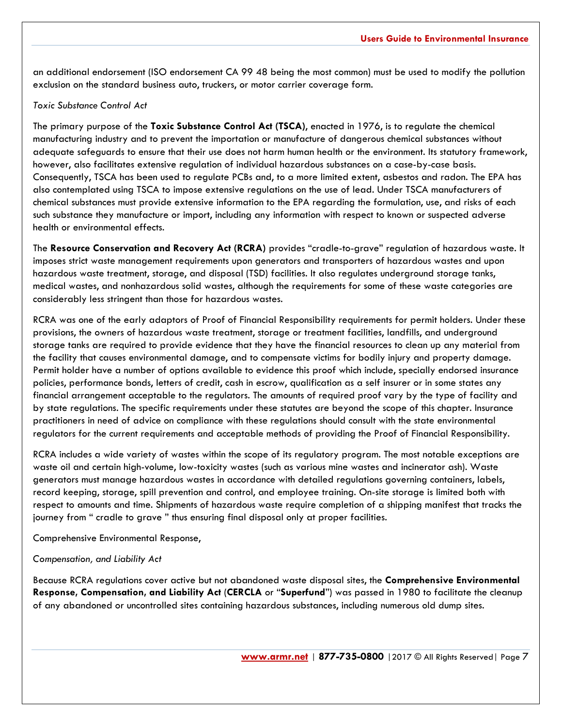an additional endorsement (ISO endorsement CA 99 48 being the most common) must be used to modify the pollution exclusion on the standard business auto, truckers, or motor carrier coverage form.

#### *Toxic Substance Control Act*

The primary purpose of the **Toxic Substance Control Act (TSCA)**, enacted in 1976, is to regulate the chemical manufacturing industry and to prevent the importation or manufacture of dangerous chemical substances without adequate safeguards to ensure that their use does not harm human health or the environment. Its statutory framework, however, also facilitates extensive regulation of individual hazardous substances on a case-by-case basis. Consequently, TSCA has been used to regulate PCBs and, to a more limited extent, asbestos and radon. The EPA has also contemplated using TSCA to impose extensive regulations on the use of lead. Under TSCA manufacturers of chemical substances must provide extensive information to the EPA regarding the formulation, use, and risks of each such substance they manufacture or import, including any information with respect to known or suspected adverse health or environmental effects.

The **Resource Conservation and Recovery Act (RCRA)** provides "cradle-to-grave" regulation of hazardous waste. It imposes strict waste management requirements upon generators and transporters of hazardous wastes and upon hazardous waste treatment, storage, and disposal (TSD) facilities. It also regulates underground storage tanks, medical wastes, and nonhazardous solid wastes, although the requirements for some of these waste categories are considerably less stringent than those for hazardous wastes.

RCRA was one of the early adaptors of Proof of Financial Responsibility requirements for permit holders. Under these provisions, the owners of hazardous waste treatment, storage or treatment facilities, landfills, and underground storage tanks are required to provide evidence that they have the financial resources to clean up any material from the facility that causes environmental damage, and to compensate victims for bodily injury and property damage. Permit holder have a number of options available to evidence this proof which include, specially endorsed insurance policies, performance bonds, letters of credit, cash in escrow, qualification as a self insurer or in some states any financial arrangement acceptable to the regulators. The amounts of required proof vary by the type of facility and by state regulations. The specific requirements under these statutes are beyond the scope of this chapter. Insurance practitioners in need of advice on compliance with these regulations should consult with the state environmental regulators for the current requirements and acceptable methods of providing the Proof of Financial Responsibility.

RCRA includes a wide variety of wastes within the scope of its regulatory program. The most notable exceptions are waste oil and certain high-volume, low-toxicity wastes (such as various mine wastes and incinerator ash). Waste generators must manage hazardous wastes in accordance with detailed regulations governing containers, labels, record keeping, storage, spill prevention and control, and employee training. On-site storage is limited both with respect to amounts and time. Shipments of hazardous waste require completion of a shipping manifest that tracks the journey from " cradle to grave " thus ensuring final disposal only at proper facilities.

Comprehensive Environmental Response,

#### *Compensation, and Liability Act*

Because RCRA regulations cover active but not abandoned waste disposal sites, the **Comprehensive Environmental Response, Compensation, and Liability Act** (**CERCLA** or "**Superfund**") was passed in 1980 to facilitate the cleanup of any abandoned or uncontrolled sites containing hazardous substances, including numerous old dump sites.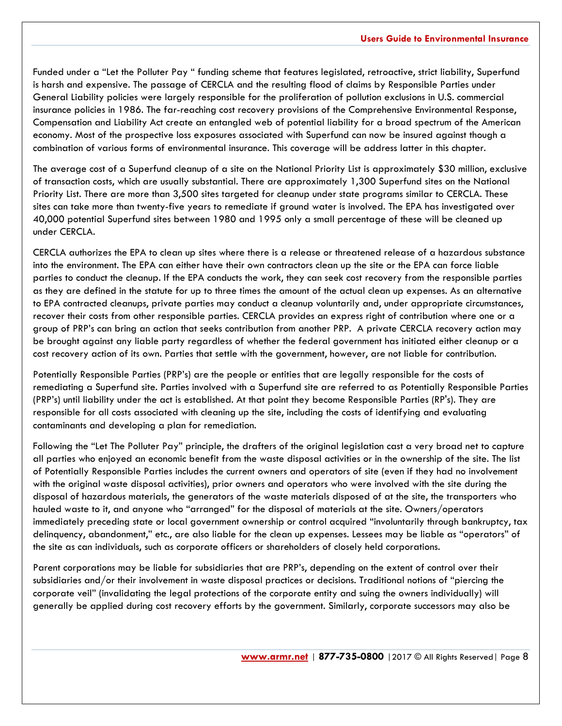Funded under a "Let the Polluter Pay " funding scheme that features legislated, retroactive, strict liability, Superfund is harsh and expensive. The passage of CERCLA and the resulting flood of claims by Responsible Parties under General Liability policies were largely responsible for the proliferation of pollution exclusions in U.S. commercial insurance policies in 1986. The far-reaching cost recovery provisions of the Comprehensive Environmental Response, Compensation and Liability Act create an entangled web of potential liability for a broad spectrum of the American economy. Most of the prospective loss exposures associated with Superfund can now be insured against though a combination of various forms of environmental insurance. This coverage will be address latter in this chapter.

The average cost of a Superfund cleanup of a site on the National Priority List is approximately \$30 million, exclusive of transaction costs, which are usually substantial. There are approximately 1,300 Superfund sites on the National Priority List. There are more than 3,500 sites targeted for cleanup under state programs similar to CERCLA. These sites can take more than twenty-five years to remediate if ground water is involved. The EPA has investigated over 40,000 potential Superfund sites between 1980 and 1995 only a small percentage of these will be cleaned up under CERCLA.

CERCLA authorizes the EPA to clean up sites where there is a release or threatened release of a hazardous substance into the environment. The EPA can either have their own contractors clean up the site or the EPA can force liable parties to conduct the cleanup. If the EPA conducts the work, they can seek cost recovery from the responsible parties as they are defined in the statute for up to three times the amount of the actual clean up expenses. As an alternative to EPA contracted cleanups, private parties may conduct a cleanup voluntarily and, under appropriate circumstances, recover their costs from other responsible parties. CERCLA provides an express right of contribution where one or a group of PRP's can bring an action that seeks contribution from another PRP. A private CERCLA recovery action may be brought against any liable party regardless of whether the federal government has initiated either cleanup or a cost recovery action of its own. Parties that settle with the government, however, are not liable for contribution.

Potentially Responsible Parties (PRP's) are the people or entities that are legally responsible for the costs of remediating a Superfund site. Parties involved with a Superfund site are referred to as Potentially Responsible Parties (PRP's) until liability under the act is established. At that point they become Responsible Parties (RP's). They are responsible for all costs associated with cleaning up the site, including the costs of identifying and evaluating contaminants and developing a plan for remediation.

Following the "Let The Polluter Pay" principle, the drafters of the original legislation cast a very broad net to capture all parties who enjoyed an economic benefit from the waste disposal activities or in the ownership of the site. The list of Potentially Responsible Parties includes the current owners and operators of site (even if they had no involvement with the original waste disposal activities), prior owners and operators who were involved with the site during the disposal of hazardous materials, the generators of the waste materials disposed of at the site, the transporters who hauled waste to it, and anyone who "arranged" for the disposal of materials at the site. Owners/operators immediately preceding state or local government ownership or control acquired "involuntarily through bankruptcy, tax delinquency, abandonment," etc., are also liable for the clean up expenses. Lessees may be liable as "operators" of the site as can individuals, such as corporate officers or shareholders of closely held corporations.

Parent corporations may be liable for subsidiaries that are PRP's, depending on the extent of control over their subsidiaries and/or their involvement in waste disposal practices or decisions. Traditional notions of "piercing the corporate veil" (invalidating the legal protections of the corporate entity and suing the owners individually) will generally be applied during cost recovery efforts by the government. Similarly, corporate successors may also be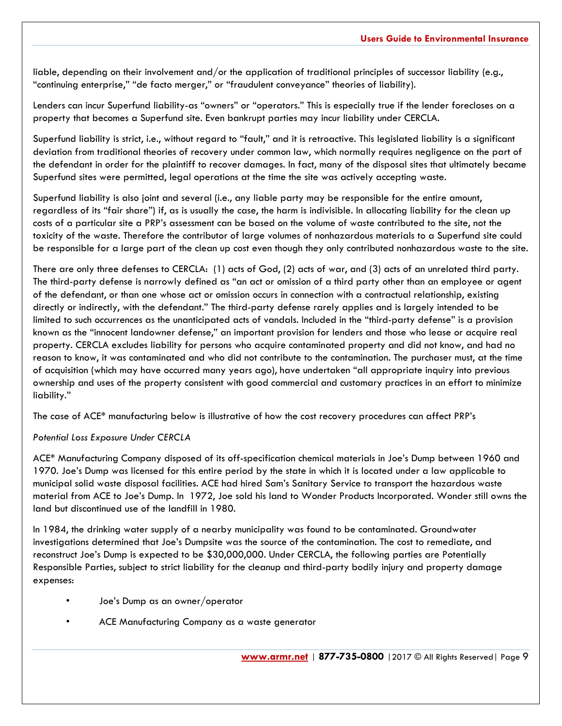liable, depending on their involvement and/or the application of traditional principles of successor liability (e.g., "continuing enterprise," "de facto merger," or "fraudulent conveyance" theories of liability).

Lenders can incur Superfund liability-as "owners" or "operators." This is especially true if the lender forecloses on a property that becomes a Superfund site. Even bankrupt parties may incur liability under CERCLA.

Superfund liability is strict, i.e., without regard to "fault," and it is retroactive. This legislated liability is a significant deviation from traditional theories of recovery under common law, which normally requires negligence on the part of the defendant in order for the plaintiff to recover damages. In fact, many of the disposal sites that ultimately became Superfund sites were permitted, legal operations at the time the site was actively accepting waste.

Superfund liability is also joint and several (i.e., any liable party may be responsible for the entire amount, regardless of its "fair share") if, as is usually the case, the harm is indivisible. In allocating liability for the clean up costs of a particular site a PRP's assessment can be based on the volume of waste contributed to the site, not the toxicity of the waste. Therefore the contributor of large volumes of nonhazardous materials to a Superfund site could be responsible for a large part of the clean up cost even though they only contributed nonhazardous waste to the site.

There are only three defenses to CERCLA: (1) acts of God, (2) acts of war, and (3) acts of an unrelated third party. The third-party defense is narrowly defined as "an act or omission of a third party other than an employee or agent of the defendant, or than one whose act or omission occurs in connection with a contractual relationship, existing directly or indirectly, with the defendant." The third-party defense rarely applies and is largely intended to be limited to such occurrences as the unanticipated acts of vandals. Included in the "third-party defense" is a provision known as the "innocent landowner defense," an important provision for lenders and those who lease or acquire real property. CERCLA excludes liability for persons who acquire contaminated property and did not know, and had no reason to know, it was contaminated and who did not contribute to the contamination. The purchaser must, at the time of acquisition (which may have occurred many years ago), have undertaken "all appropriate inquiry into previous ownership and uses of the property consistent with good commercial and customary practices in an effort to minimize liability."

The case of ACE\* manufacturing below is illustrative of how the cost recovery procedures can affect PRP's

#### *Potential Loss Exposure Under CERCLA*

ACE\* Manufacturing Company disposed of its off-specification chemical materials in Joe's Dump between 1960 and 1970. Joe's Dump was licensed for this entire period by the state in which it is located under a law applicable to municipal solid waste disposal facilities. ACE had hired Sam's Sanitary Service to transport the hazardous waste material from ACE to Joe's Dump. In 1972, Joe sold his land to Wonder Products Incorporated. Wonder still owns the land but discontinued use of the landfill in 1980.

In 1984, the drinking water supply of a nearby municipality was found to be contaminated. Groundwater investigations determined that Joe's Dumpsite was the source of the contamination. The cost to remediate, and reconstruct Joe's Dump is expected to be \$30,000,000. Under CERCLA, the following parties are Potentially Responsible Parties, subject to strict liability for the cleanup and third-party bodily injury and property damage expenses:

- Joe's Dump as an owner/operator
- ACE Manufacturing Company as a waste generator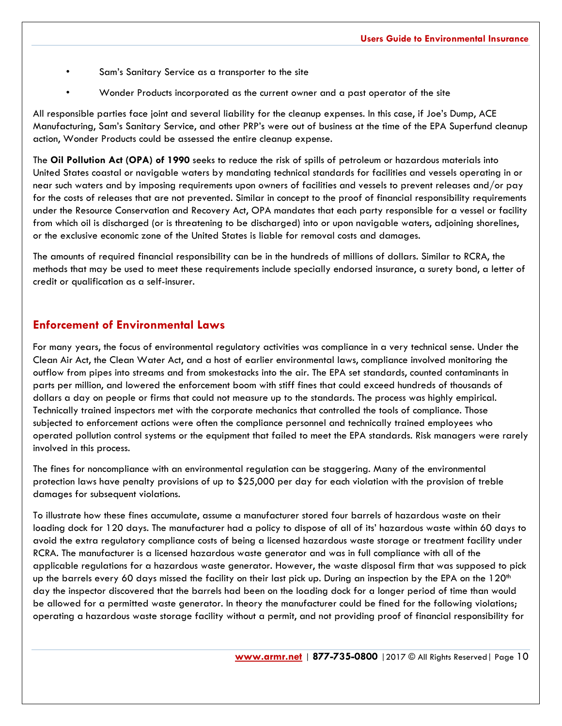- Sam's Sanitary Service as a transporter to the site
- Wonder Products incorporated as the current owner and a past operator of the site

All responsible parties face joint and several liability for the cleanup expenses. In this case, if Joe's Dump, ACE Manufacturing, Sam's Sanitary Service, and other PRP's were out of business at the time of the EPA Superfund cleanup action, Wonder Products could be assessed the entire cleanup expense.

The **Oil Pollution Act (OPA) of 1990** seeks to reduce the risk of spills of petroleum or hazardous materials into United States coastal or navigable waters by mandating technical standards for facilities and vessels operating in or near such waters and by imposing requirements upon owners of facilities and vessels to prevent releases and/or pay for the costs of releases that are not prevented. Similar in concept to the proof of financial responsibility requirements under the Resource Conservation and Recovery Act, OPA mandates that each party responsible for a vessel or facility from which oil is discharged (or is threatening to be discharged) into or upon navigable waters, adjoining shorelines, or the exclusive economic zone of the United States is liable for removal costs and damages.

The amounts of required financial responsibility can be in the hundreds of millions of dollars. Similar to RCRA, the methods that may be used to meet these requirements include specially endorsed insurance, a surety bond, a letter of credit or qualification as a self-insurer.

## **Enforcement of Environmental Laws**

For many years, the focus of environmental regulatory activities was compliance in a very technical sense. Under the Clean Air Act, the Clean Water Act, and a host of earlier environmental laws, compliance involved monitoring the outflow from pipes into streams and from smokestacks into the air. The EPA set standards, counted contaminants in parts per million, and lowered the enforcement boom with stiff fines that could exceed hundreds of thousands of dollars a day on people or firms that could not measure up to the standards. The process was highly empirical. Technically trained inspectors met with the corporate mechanics that controlled the tools of compliance. Those subjected to enforcement actions were often the compliance personnel and technically trained employees who operated pollution control systems or the equipment that failed to meet the EPA standards. Risk managers were rarely involved in this process.

The fines for noncompliance with an environmental regulation can be staggering. Many of the environmental protection laws have penalty provisions of up to \$25,000 per day for each violation with the provision of treble damages for subsequent violations.

To illustrate how these fines accumulate, assume a manufacturer stored four barrels of hazardous waste on their loading dock for 120 days. The manufacturer had a policy to dispose of all of its' hazardous waste within 60 days to avoid the extra regulatory compliance costs of being a licensed hazardous waste storage or treatment facility under RCRA. The manufacturer is a licensed hazardous waste generator and was in full compliance with all of the applicable regulations for a hazardous waste generator. However, the waste disposal firm that was supposed to pick up the barrels every 60 days missed the facility on their last pick up. During an inspection by the EPA on the 120<sup>th</sup> day the inspector discovered that the barrels had been on the loading dock for a longer period of time than would be allowed for a permitted waste generator. In theory the manufacturer could be fined for the following violations; operating a hazardous waste storage facility without a permit, and not providing proof of financial responsibility for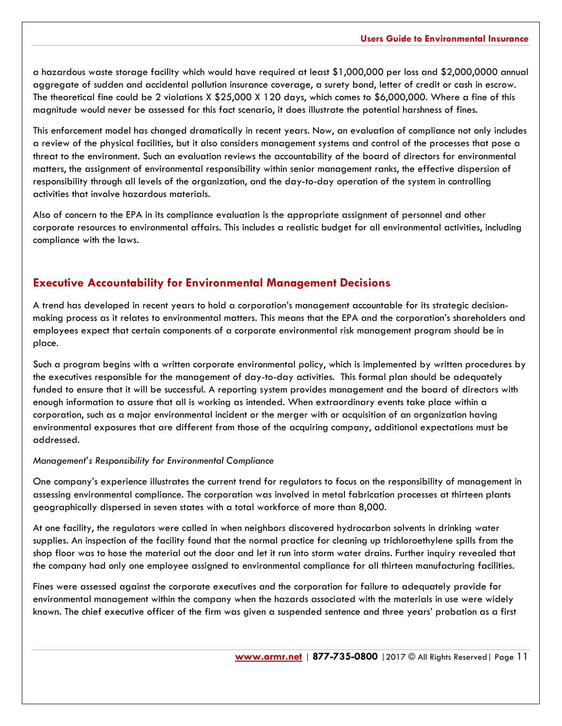a hazardous waste storage facility which would have required at least \$1,000,000 per loss and \$2,000,0000 annual aggregate of sudden and accidental pollution insurance coverage, a surety bond, letter of credit or cash in escrow. The theoretical fine could be 2 violations X \$25,000 X 120 days, which comes to \$6,000,000. Where a fine of this magnitude would never be assessed for this fact scenario, it does illustrate the potential harshness of fines.

This enforcement model has changed dramatically in recent years. Now, an evaluation of compliance not only includes a review of the physical facilities, but it also considers management systems and control of the processes that pose a threat to the environment. Such an evaluation reviews the accountability of the board of directors for environmental matters, the assignment of environmental responsibility within senior management ranks, the effective dispersion of responsibility through all levels of the organization, and the day-to-day operation of the system in controlling activities that involve hazardous materials.

Also of concern to the EPA in its compliance evaluation is the appropriate assignment of personnel and other corporate resources to environmental affairs. This includes a realistic budget for all environmental activities, including compliance with the laws.

## **Executive Accountability for Environmental Management Decisions**

A trend has developed in recent years to hold a corporation's management accountable for its strategic decisionmaking process as it relates to environmental matters. This means that the EPA and the corporation's shareholders and employees expect that certain components of a corporate environmental risk management program should be in place.

Such a program begins with a written corporate environmental policy, which is implemented by written procedures by the executives responsible for the management of day-to-day activities. This formal plan should be adequately funded to ensure that it will be successful. A reporting system provides management and the board of directors with enough information to assure that all is working as intended. When extraordinary events take place within a corporation, such as a major environmental incident or the merger with or acquisition of an organization having environmental exposures that are different from those of the acquiring company, additional expectations must be addressed.

#### *Management's Responsibility for Environmental Compliance*

One company's experience illustrates the current trend for regulators to focus on the responsibility of management in assessing environmental compliance. The corporation was involved in metal fabrication processes at thirteen plants geographically dispersed in seven states with a total workforce of more than 8,000.

At one facility, the regulators were called in when neighbors discovered hydrocarbon solvents in drinking water supplies. An inspection of the facility found that the normal practice for cleaning up trichloroethylene spills from the shop floor was to hose the material out the door and let it run into storm water drains. Further inquiry revealed that the company had only one employee assigned to environmental compliance for all thirteen manufacturing facilities.

Fines were assessed against the corporate executives and the corporation for failure to adequately provide for environmental management within the company when the hazards associated with the materials in use were widely known. The chief executive officer of the firm was given a suspended sentence and three years' probation as a first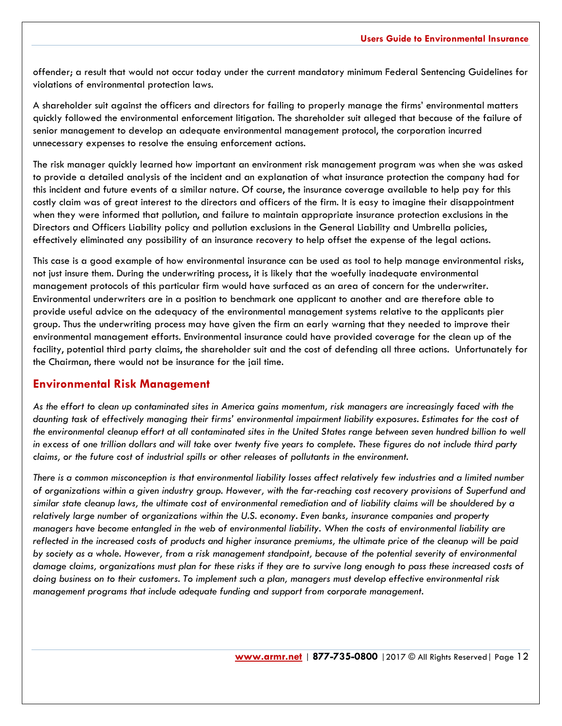offender; a result that would not occur today under the current mandatory minimum Federal Sentencing Guidelines for violations of environmental protection laws.

A shareholder suit against the officers and directors for failing to properly manage the firms' environmental matters quickly followed the environmental enforcement litigation. The shareholder suit alleged that because of the failure of senior management to develop an adequate environmental management protocol, the corporation incurred unnecessary expenses to resolve the ensuing enforcement actions.

The risk manager quickly learned how important an environment risk management program was when she was asked to provide a detailed analysis of the incident and an explanation of what insurance protection the company had for this incident and future events of a similar nature. Of course, the insurance coverage available to help pay for this costly claim was of great interest to the directors and officers of the firm. It is easy to imagine their disappointment when they were informed that pollution, and failure to maintain appropriate insurance protection exclusions in the Directors and Officers Liability policy and pollution exclusions in the General Liability and Umbrella policies, effectively eliminated any possibility of an insurance recovery to help offset the expense of the legal actions.

This case is a good example of how environmental insurance can be used as tool to help manage environmental risks, not just insure them. During the underwriting process, it is likely that the woefully inadequate environmental management protocols of this particular firm would have surfaced as an area of concern for the underwriter. Environmental underwriters are in a position to benchmark one applicant to another and are therefore able to provide useful advice on the adequacy of the environmental management systems relative to the applicants pier group. Thus the underwriting process may have given the firm an early warning that they needed to improve their environmental management efforts. Environmental insurance could have provided coverage for the clean up of the facility, potential third party claims, the shareholder suit and the cost of defending all three actions. Unfortunately for the Chairman, there would not be insurance for the jail time.

#### **Environmental Risk Management**

*As the effort to clean up contaminated sites in America gains momentum, risk managers are increasingly faced with the daunting task of effectively managing their firms' environmental impairment liability exposures. Estimates for the cost of the environmental cleanup effort at all contaminated sites in the United States range between seven hundred billion to well in excess of one trillion dollars and will take over twenty five years to complete. These figures do not include third party claims, or the future cost of industrial spills or other releases of pollutants in the environment.* 

*There is a common misconception is that environmental liability losses affect relatively few industries and a limited number of organizations within a given industry group. However, with the far-reaching cost recovery provisions of Superfund and similar state cleanup laws, the ultimate cost of environmental remediation and of liability claims will be shouldered by a relatively large number of organizations within the U.S. economy. Even banks, insurance companies and property managers have become entangled in the web of environmental liability. When the costs of environmental liability are reflected in the increased costs of products and higher insurance premiums, the ultimate price of the cleanup will be paid by society as a whole. However, from a risk management standpoint, because of the potential severity of environmental damage claims, organizations must plan for these risks if they are to survive long enough to pass these increased costs of doing business on to their customers. To implement such a plan, managers must develop effective environmental risk management programs that include adequate funding and support from corporate management.*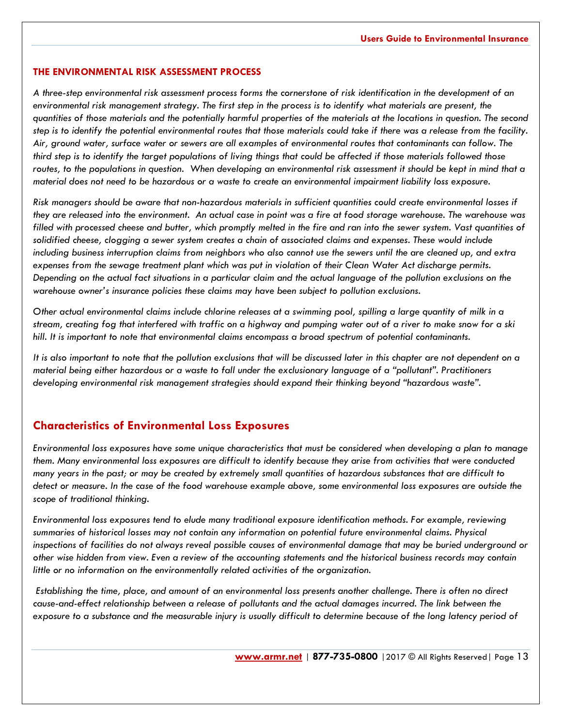#### **THE ENVIRONMENTAL RISK ASSESSMENT PROCESS**

*A three-step environmental risk assessment process forms the cornerstone of risk identification in the development of an environmental risk management strategy. The first step in the process is to identify what materials are present, the quantities of those materials and the potentially harmful properties of the materials at the locations in question. The second step is to identify the potential environmental routes that those materials could take if there was a release from the facility. Air, ground water, surface water or sewers are all examples of environmental routes that contaminants can follow. The third step is to identify the target populations of living things that could be affected if those materials followed those routes, to the populations in question. When developing an environmental risk assessment it should be kept in mind that a material does not need to be hazardous or a waste to create an environmental impairment liability loss exposure.* 

*Risk managers should be aware that non-hazardous materials in sufficient quantities could create environmental losses if they are released into the environment. An actual case in point was a fire at food storage warehouse. The warehouse was filled with processed cheese and butter, which promptly melted in the fire and ran into the sewer system. Vast quantities of solidified cheese, clogging a sewer system creates a chain of associated claims and expenses. These would include including business interruption claims from neighbors who also cannot use the sewers until the are cleaned up, and extra expenses from the sewage treatment plant which was put in violation of their Clean Water Act discharge permits. Depending on the actual fact situations in a particular claim and the actual language of the pollution exclusions on the warehouse owner's insurance policies these claims may have been subject to pollution exclusions.* 

*Other actual environmental claims include chlorine releases at a swimming pool, spilling a large quantity of milk in a stream, creating fog that interfered with traffic on a highway and pumping water out of a river to make snow for a ski hill. It is important to note that environmental claims encompass a broad spectrum of potential contaminants.*

*It is also important to note that the pollution exclusions that will be discussed later in this chapter are not dependent on a material being either hazardous or a waste to fall under the exclusionary language of a "pollutant". Practitioners developing environmental risk management strategies should expand their thinking beyond "hazardous waste".*

#### **Characteristics of Environmental Loss Exposures**

*Environmental loss exposures have some unique characteristics that must be considered when developing a plan to manage them. Many environmental loss exposures are difficult to identify because they arise from activities that were conducted many years in the past; or may be created by extremely small quantities of hazardous substances that are difficult to detect or measure. In the case of the food warehouse example above, some environmental loss exposures are outside the scope of traditional thinking.* 

*Environmental loss exposures tend to elude many traditional exposure identification methods. For example, reviewing summaries of historical losses may not contain any information on potential future environmental claims. Physical inspections of facilities do not always reveal possible causes of environmental damage that may be buried underground or other wise hidden from view. Even a review of the accounting statements and the historical business records may contain little or no information on the environmentally related activities of the organization.*

*Establishing the time, place, and amount of an environmental loss presents another challenge. There is often no direct*  cause-and-effect relationship between a release of pollutants and the actual damages incurred. The link between the *exposure to a substance and the measurable injury is usually difficult to determine because of the long latency period of*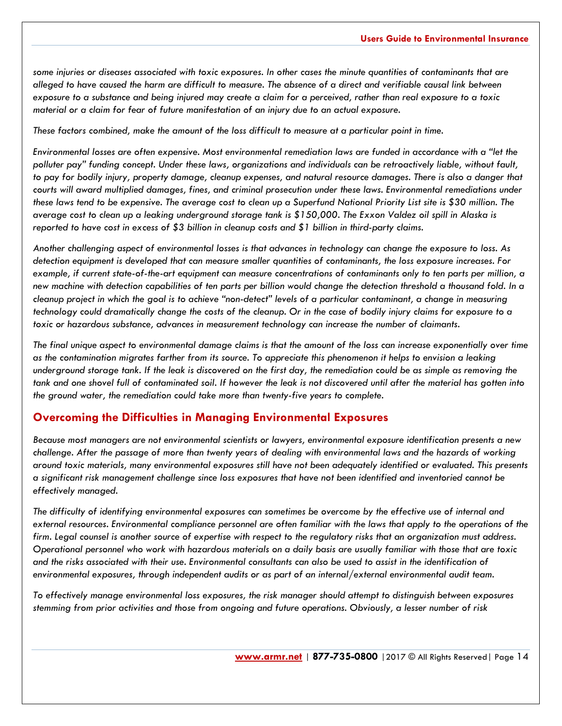*some injuries or diseases associated with toxic exposures. In other cases the minute quantities of contaminants that are alleged to have caused the harm are difficult to measure. The absence of a direct and verifiable causal link between exposure to a substance and being injured may create a claim for a perceived, rather than real exposure to a toxic material or a claim for fear of future manifestation of an injury due to an actual exposure.*

*These factors combined, make the amount of the loss difficult to measure at a particular point in time.*

*Environmental losses are often expensive. Most environmental remediation laws are funded in accordance with a "let the polluter pay" funding concept. Under these laws, organizations and individuals can be retroactively liable, without fault, to pay for bodily injury, property damage, cleanup expenses, and natural resource damages. There is also a danger that courts will award multiplied damages, fines, and criminal prosecution under these laws. Environmental remediations under these laws tend to be expensive. The average cost to clean up a Superfund National Priority List site is \$30 million. The average cost to clean up a leaking underground storage tank is \$150,000. The Exxon Valdez oil spill in Alaska is reported to have cost in excess of \$3 billion in cleanup costs and \$1 billion in third-party claims.*

*Another challenging aspect of environmental losses is that advances in technology can change the exposure to loss. As detection equipment is developed that can measure smaller quantities of contaminants, the loss exposure increases. For example, if current state-of-the-art equipment can measure concentrations of contaminants only to ten parts per million, a new machine with detection capabilities of ten parts per billion would change the detection threshold a thousand fold. In a cleanup project in which the goal is to achieve "non-detect" levels of a particular contaminant, a change in measuring technology could dramatically change the costs of the cleanup. Or in the case of bodily injury claims for exposure to a toxic or hazardous substance, advances in measurement technology can increase the number of claimants.*

*The final unique aspect to environmental damage claims is that the amount of the loss can increase exponentially over time as the contamination migrates farther from its source. To appreciate this phenomenon it helps to envision a leaking underground storage tank. If the leak is discovered on the first day, the remediation could be as simple as removing the tank and one shovel full of contaminated soil. If however the leak is not discovered until after the material has gotten into the ground water, the remediation could take more than twenty-five years to complete.*

## **Overcoming the Difficulties in Managing Environmental Exposures**

*Because most managers are not environmental scientists or lawyers, environmental exposure identification presents a new challenge. After the passage of more than twenty years of dealing with environmental laws and the hazards of working around toxic materials, many environmental exposures still have not been adequately identified or evaluated. This presents a significant risk management challenge since loss exposures that have not been identified and inventoried cannot be effectively managed.* 

*The difficulty of identifying environmental exposures can sometimes be overcome by the effective use of internal and external resources. Environmental compliance personnel are often familiar with the laws that apply to the operations of the firm. Legal counsel is another source of expertise with respect to the regulatory risks that an organization must address. Operational personnel who work with hazardous materials on a daily basis are usually familiar with those that are toxic and the risks associated with their use. Environmental consultants can also be used to assist in the identification of environmental exposures, through independent audits or as part of an internal/external environmental audit team.*

*To effectively manage environmental loss exposures, the risk manager should attempt to distinguish between exposures stemming from prior activities and those from ongoing and future operations. Obviously, a lesser number of risk*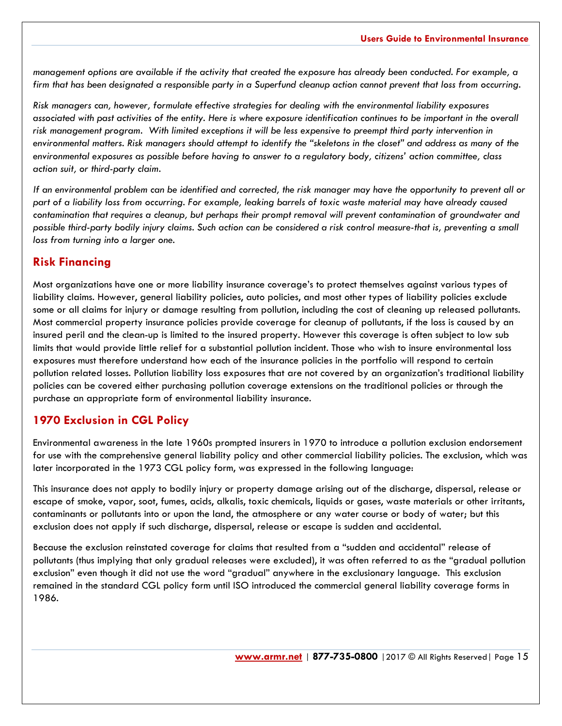*management options are available if the activity that created the exposure has already been conducted. For example, a firm that has been designated a responsible party in a Superfund cleanup action cannot prevent that loss from occurring.* 

*Risk managers can, however, formulate effective strategies for dealing with the environmental liability exposures associated with past activities of the entity. Here is where exposure identification continues to be important in the overall risk management program. With limited exceptions it will be less expensive to preempt third party intervention in environmental matters. Risk managers should attempt to identify the "skeletons in the closet" and address as many of the environmental exposures as possible before having to answer to a regulatory body, citizens' action committee, class action suit, or third-party claim.*

*If an environmental problem can be identified and corrected, the risk manager may have the opportunity to prevent all or part of a liability loss from occurring. For example, leaking barrels of toxic waste material may have already caused contamination that requires a cleanup, but perhaps their prompt removal will prevent contamination of groundwater and possible third-party bodily injury claims. Such action can be considered a risk control measure-that is, preventing a small loss from turning into a larger one.*

## **Risk Financing**

Most organizations have one or more liability insurance coverage's to protect themselves against various types of liability claims. However, general liability policies, auto policies, and most other types of liability policies exclude some or all claims for injury or damage resulting from pollution, including the cost of cleaning up released pollutants. Most commercial property insurance policies provide coverage for cleanup of pollutants, if the loss is caused by an insured peril and the clean-up is limited to the insured property. However this coverage is often subject to low sub limits that would provide little relief for a substantial pollution incident. Those who wish to insure environmental loss exposures must therefore understand how each of the insurance policies in the portfolio will respond to certain pollution related losses. Pollution liability loss exposures that are not covered by an organization's traditional liability policies can be covered either purchasing pollution coverage extensions on the traditional policies or through the purchase an appropriate form of environmental liability insurance.

## **1970 Exclusion in CGL Policy**

Environmental awareness in the late 1960s prompted insurers in 1970 to introduce a pollution exclusion endorsement for use with the comprehensive general liability policy and other commercial liability policies. The exclusion, which was later incorporated in the 1973 CGL policy form, was expressed in the following language:

This insurance does not apply to bodily injury or property damage arising out of the discharge, dispersal, release or escape of smoke, vapor, soot, fumes, acids, alkalis, toxic chemicals, liquids or gases, waste materials or other irritants, contaminants or pollutants into or upon the land, the atmosphere or any water course or body of water; but this exclusion does not apply if such discharge, dispersal, release or escape is sudden and accidental.

Because the exclusion reinstated coverage for claims that resulted from a "sudden and accidental" release of pollutants (thus implying that only gradual releases were excluded), it was often referred to as the "gradual pollution exclusion" even though it did not use the word "gradual" anywhere in the exclusionary language. This exclusion remained in the standard CGL policy form until ISO introduced the commercial general liability coverage forms in 1986.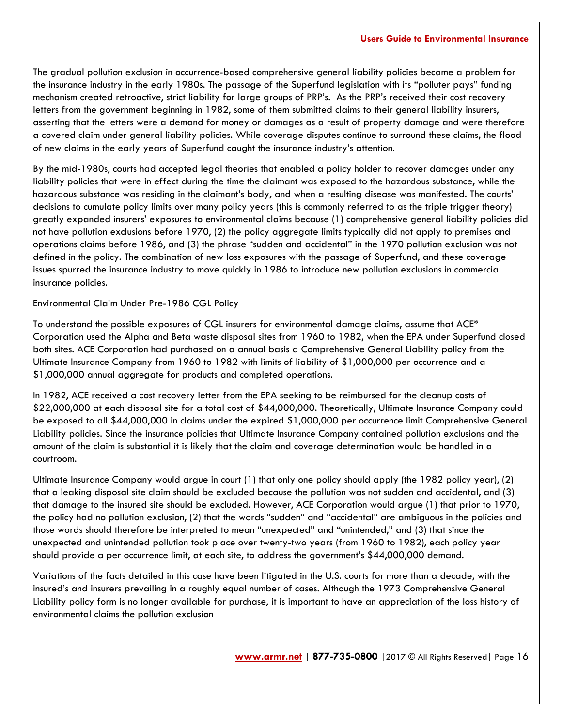The gradual pollution exclusion in occurrence-based comprehensive general liability policies became a problem for the insurance industry in the early 1980s. The passage of the Superfund legislation with its "polluter pays" funding mechanism created retroactive, strict liability for large groups of PRP's. As the PRP's received their cost recovery letters from the government beginning in 1982, some of them submitted claims to their general liability insurers, asserting that the letters were a demand for money or damages as a result of property damage and were therefore a covered claim under general liability policies. While coverage disputes continue to surround these claims, the flood of new claims in the early years of Superfund caught the insurance industry's attention.

By the mid-1980s, courts had accepted legal theories that enabled a policy holder to recover damages under any liability policies that were in effect during the time the claimant was exposed to the hazardous substance, while the hazardous substance was residing in the claimant's body, and when a resulting disease was manifested. The courts' decisions to cumulate policy limits over many policy years (this is commonly referred to as the triple trigger theory) greatly expanded insurers' exposures to environmental claims because (1) comprehensive general liability policies did not have pollution exclusions before 1970, (2) the policy aggregate limits typically did not apply to premises and operations claims before 1986, and (3) the phrase "sudden and accidental" in the 1970 pollution exclusion was not defined in the policy. The combination of new loss exposures with the passage of Superfund, and these coverage issues spurred the insurance industry to move quickly in 1986 to introduce new pollution exclusions in commercial insurance policies.

#### Environmental Claim Under Pre-1986 CGL Policy

To understand the possible exposures of CGL insurers for environmental damage claims, assume that ACE\* Corporation used the Alpha and Beta waste disposal sites from 1960 to 1982, when the EPA under Superfund closed both sites. ACE Corporation had purchased on a annual basis a Comprehensive General Liability policy from the Ultimate Insurance Company from 1960 to 1982 with limits of liability of \$1,000,000 per occurrence and a \$1,000,000 annual aggregate for products and completed operations.

In 1982, ACE received a cost recovery letter from the EPA seeking to be reimbursed for the cleanup costs of \$22,000,000 at each disposal site for a total cost of \$44,000,000. Theoretically, Ultimate Insurance Company could be exposed to all \$44,000,000 in claims under the expired \$1,000,000 per occurrence limit Comprehensive General Liability policies. Since the insurance policies that Ultimate Insurance Company contained pollution exclusions and the amount of the claim is substantial it is likely that the claim and coverage determination would be handled in a courtroom.

Ultimate Insurance Company would argue in court (1) that only one policy should apply (the 1982 policy year), (2) that a leaking disposal site claim should be excluded because the pollution was not sudden and accidental, and (3) that damage to the insured site should be excluded. However, ACE Corporation would argue (1) that prior to 1970, the policy had no pollution exclusion, (2) that the words "sudden" and "accidental" are ambiguous in the policies and those words should therefore be interpreted to mean "unexpected" and "unintended," and (3) that since the unexpected and unintended pollution took place over twenty-two years (from 1960 to 1982), each policy year should provide a per occurrence limit, at each site, to address the government's \$44,000,000 demand.

Variations of the facts detailed in this case have been litigated in the U.S. courts for more than a decade, with the insured's and insurers prevailing in a roughly equal number of cases. Although the 1973 Comprehensive General Liability policy form is no longer available for purchase, it is important to have an appreciation of the loss history of environmental claims the pollution exclusion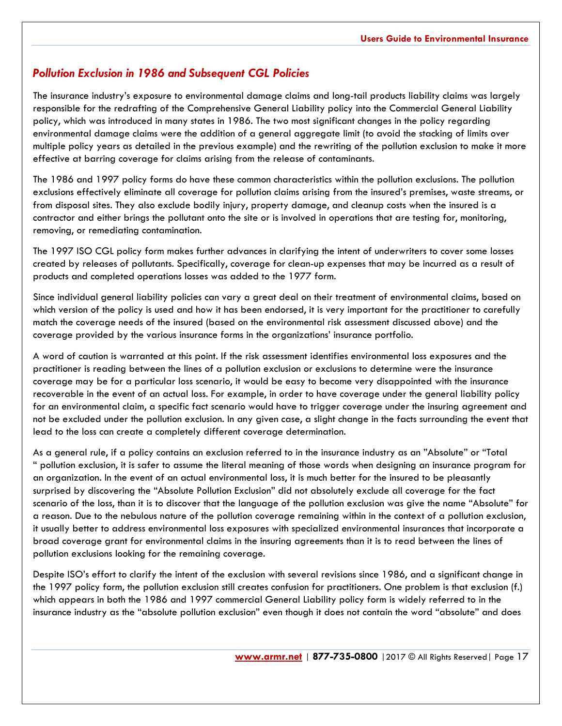## *Pollution Exclusion in 1986 and Subsequent CGL Policies*

The insurance industry's exposure to environmental damage claims and long-tail products liability claims was largely responsible for the redrafting of the Comprehensive General Liability policy into the Commercial General Liability policy, which was introduced in many states in 1986. The two most significant changes in the policy regarding environmental damage claims were the addition of a general aggregate limit (to avoid the stacking of limits over multiple policy years as detailed in the previous example) and the rewriting of the pollution exclusion to make it more effective at barring coverage for claims arising from the release of contaminants.

The 1986 and 1997 policy forms do have these common characteristics within the pollution exclusions. The pollution exclusions effectively eliminate all coverage for pollution claims arising from the insured's premises, waste streams, or from disposal sites. They also exclude bodily injury, property damage, and cleanup costs when the insured is a contractor and either brings the pollutant onto the site or is involved in operations that are testing for, monitoring, removing, or remediating contamination.

The 1997 ISO CGL policy form makes further advances in clarifying the intent of underwriters to cover some losses created by releases of pollutants. Specifically, coverage for clean-up expenses that may be incurred as a result of products and completed operations losses was added to the 1977 form.

Since individual general liability policies can vary a great deal on their treatment of environmental claims, based on which version of the policy is used and how it has been endorsed, it is very important for the practitioner to carefully match the coverage needs of the insured (based on the environmental risk assessment discussed above) and the coverage provided by the various insurance forms in the organizations' insurance portfolio.

A word of caution is warranted at this point. If the risk assessment identifies environmental loss exposures and the practitioner is reading between the lines of a pollution exclusion or exclusions to determine were the insurance coverage may be for a particular loss scenario, it would be easy to become very disappointed with the insurance recoverable in the event of an actual loss. For example, in order to have coverage under the general liability policy for an environmental claim, a specific fact scenario would have to trigger coverage under the insuring agreement and not be excluded under the pollution exclusion. In any given case, a slight change in the facts surrounding the event that lead to the loss can create a completely different coverage determination.

As a general rule, if a policy contains an exclusion referred to in the insurance industry as an "Absolute" or "Total pollution exclusion, it is safer to assume the literal meaning of those words when designing an insurance program for an organization. In the event of an actual environmental loss, it is much better for the insured to be pleasantly surprised by discovering the "Absolute Pollution Exclusion" did not absolutely exclude all coverage for the fact scenario of the loss, than it is to discover that the language of the pollution exclusion was give the name "Absolute" for a reason. Due to the nebulous nature of the pollution coverage remaining within in the context of a pollution exclusion, it usually better to address environmental loss exposures with specialized environmental insurances that incorporate a broad coverage grant for environmental claims in the insuring agreements than it is to read between the lines of pollution exclusions looking for the remaining coverage.

Despite ISO's effort to clarify the intent of the exclusion with several revisions since 1986, and a significant change in the 1997 policy form, the pollution exclusion still creates confusion for practitioners. One problem is that exclusion (f.) which appears in both the 1986 and 1997 commercial General Liability policy form is widely referred to in the insurance industry as the "absolute pollution exclusion" even though it does not contain the word "absolute" and does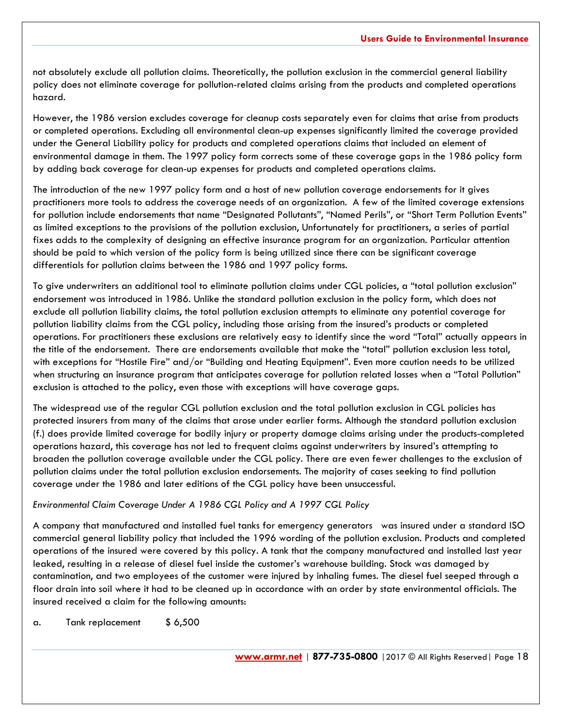not absolutely exclude all pollution claims. Theoretically, the pollution exclusion in the commercial general liability policy does not eliminate coverage for pollution-related claims arising from the products and completed operations hazard.

However, the 1986 version excludes coverage for cleanup costs separately even for claims that arise from products or completed operations. Excluding all environmental clean-up expenses significantly limited the coverage provided under the General Liability policy for products and completed operations claims that included an element of environmental damage in them. The 1997 policy form corrects some of these coverage gaps in the 1986 policy form by adding back coverage for clean-up expenses for products and completed operations claims.

The introduction of the new 1997 policy form and a host of new pollution coverage endorsements for it gives practitioners more tools to address the coverage needs of an organization. A few of the limited coverage extensions for pollution include endorsements that name "Designated Pollutants", "Named Perils", or "Short Term Pollution Events" as limited exceptions to the provisions of the pollution exclusion, Unfortunately for practitioners, a series of partial fixes adds to the complexity of designing an effective insurance program for an organization. Particular attention should be paid to which version of the policy form is being utilized since there can be significant coverage differentials for pollution claims between the 1986 and 1997 policy forms.

To give underwriters an additional tool to eliminate pollution claims under CGL policies, a "total pollution exclusion" endorsement was introduced in 1986. Unlike the standard pollution exclusion in the policy form, which does not exclude all pollution liability claims, the total pollution exclusion attempts to eliminate any potential coverage for pollution liability claims from the CGL policy, including those arising from the insured's products or completed operations. For practitioners these exclusions are relatively easy to identify since the word "Total" actually appears in the title of the endorsement. There are endorsements available that make the "total" pollution exclusion less total, with exceptions for "Hostile Fire" and/or "Building and Heating Equipment". Even more caution needs to be utilized when structuring an insurance program that anticipates coverage for pollution related losses when a "Total Pollution" exclusion is attached to the policy, even those with exceptions will have coverage gaps.

The widespread use of the regular CGL pollution exclusion and the total pollution exclusion in CGL policies has protected insurers from many of the claims that arose under earlier forms. Although the standard pollution exclusion (f.) does provide limited coverage for bodily injury or property damage claims arising under the products-completed operations hazard, this coverage has not led to frequent claims against underwriters by insured's attempting to broaden the pollution coverage available under the CGL policy. There are even fewer challenges to the exclusion of pollution claims under the total pollution exclusion endorsements. The majority of cases seeking to find pollution coverage under the 1986 and later editions of the CGL policy have been unsuccessful.

#### *Environmental Claim Coverage Under A 1986 CGL Policy and A 1997 CGL Policy*

A company that manufactured and installed fuel tanks for emergency generators was insured under a standard ISO commercial general liability policy that included the 1996 wording of the pollution exclusion. Products and completed operations of the insured were covered by this policy. A tank that the company manufactured and installed last year leaked, resulting in a release of diesel fuel inside the customer's warehouse building. Stock was damaged by contamination, and two employees of the customer were injured by inhaling fumes. The diesel fuel seeped through a floor drain into soil where it had to be cleaned up in accordance with an order by state environmental officials. The insured received a claim for the following amounts:

a. Tank replacement \$ 6,500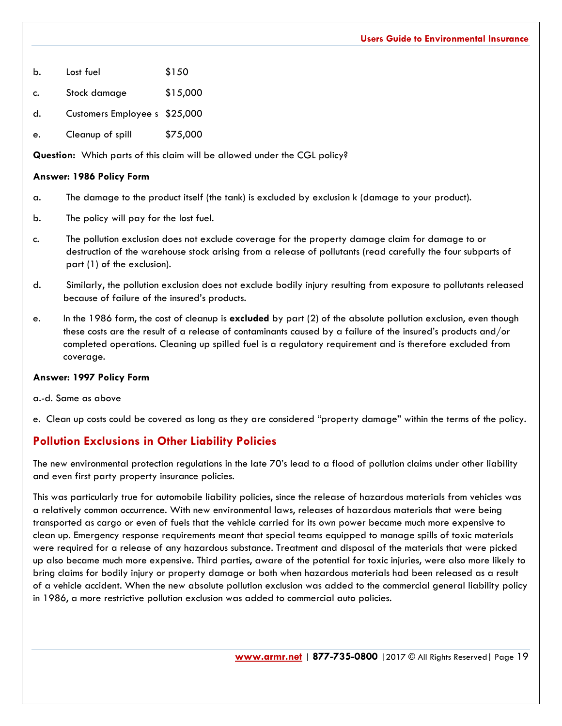- b. Lost fuel \$150
- c. Stock damage \$15,000
- d. Customers Employee s \$25,000
- e. Cleanup of spill \$75,000

**Question:** Which parts of this claim will be allowed under the CGL policy?

#### **Answer: 1986 Policy Form**

- a. The damage to the product itself (the tank) is excluded by exclusion k (damage to your product).
- b. The policy will pay for the lost fuel.
- c. The pollution exclusion does not exclude coverage for the property damage claim for damage to or destruction of the warehouse stock arising from a release of pollutants (read carefully the four subparts of part (1) of the exclusion).
- d. Similarly, the pollution exclusion does not exclude bodily injury resulting from exposure to pollutants released because of failure of the insured's products.
- e. In the 1986 form, the cost of cleanup is **excluded** by part (2) of the absolute pollution exclusion, even though these costs are the result of a release of contaminants caused by a failure of the insured's products and/or completed operations. Cleaning up spilled fuel is a regulatory requirement and is therefore excluded from coverage.

#### **Answer: 1997 Policy Form**

a.-d. Same as above

e. Clean up costs could be covered as long as they are considered "property damage" within the terms of the policy.

## **Pollution Exclusions in Other Liability Policies**

The new environmental protection regulations in the late 70's lead to a flood of pollution claims under other liability and even first party property insurance policies.

This was particularly true for automobile liability policies, since the release of hazardous materials from vehicles was a relatively common occurrence. With new environmental laws, releases of hazardous materials that were being transported as cargo or even of fuels that the vehicle carried for its own power became much more expensive to clean up. Emergency response requirements meant that special teams equipped to manage spills of toxic materials were required for a release of any hazardous substance. Treatment and disposal of the materials that were picked up also became much more expensive. Third parties, aware of the potential for toxic injuries, were also more likely to bring claims for bodily injury or property damage or both when hazardous materials had been released as a result of a vehicle accident. When the new absolute pollution exclusion was added to the commercial general liability policy in 1986, a more restrictive pollution exclusion was added to commercial auto policies.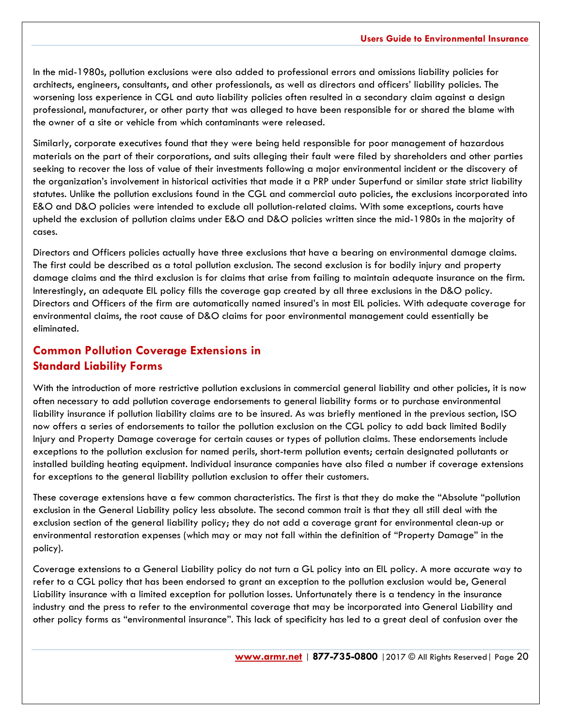In the mid-1980s, pollution exclusions were also added to professional errors and omissions liability policies for architects, engineers, consultants, and other professionals, as well as directors and officers' liability policies. The worsening loss experience in CGL and auto liability policies often resulted in a secondary claim against a design professional, manufacturer, or other party that was alleged to have been responsible for or shared the blame with the owner of a site or vehicle from which contaminants were released.

Similarly, corporate executives found that they were being held responsible for poor management of hazardous materials on the part of their corporations, and suits alleging their fault were filed by shareholders and other parties seeking to recover the loss of value of their investments following a major environmental incident or the discovery of the organization's involvement in historical activities that made it a PRP under Superfund or similar state strict liability statutes. Unlike the pollution exclusions found in the CGL and commercial auto policies, the exclusions incorporated into E&O and D&O policies were intended to exclude all pollution-related claims. With some exceptions, courts have upheld the exclusion of pollution claims under E&O and D&O policies written since the mid-1980s in the majority of cases.

Directors and Officers policies actually have three exclusions that have a bearing on environmental damage claims. The first could be described as a total pollution exclusion. The second exclusion is for bodily injury and property damage claims and the third exclusion is for claims that arise from failing to maintain adequate insurance on the firm. Interestingly, an adequate EIL policy fills the coverage gap created by all three exclusions in the D&O policy. Directors and Officers of the firm are automatically named insured's in most EIL policies. With adequate coverage for environmental claims, the root cause of D&O claims for poor environmental management could essentially be eliminated.

## **Common Pollution Coverage Extensions in Standard Liability Forms**

With the introduction of more restrictive pollution exclusions in commercial general liability and other policies, it is now often necessary to add pollution coverage endorsements to general liability forms or to purchase environmental liability insurance if pollution liability claims are to be insured. As was briefly mentioned in the previous section, ISO now offers a series of endorsements to tailor the pollution exclusion on the CGL policy to add back limited Bodily Injury and Property Damage coverage for certain causes or types of pollution claims. These endorsements include exceptions to the pollution exclusion for named perils, short-term pollution events; certain designated pollutants or installed building heating equipment. Individual insurance companies have also filed a number if coverage extensions for exceptions to the general liability pollution exclusion to offer their customers.

These coverage extensions have a few common characteristics. The first is that they do make the "Absolute "pollution exclusion in the General Liability policy less absolute. The second common trait is that they all still deal with the exclusion section of the general liability policy; they do not add a coverage grant for environmental clean-up or environmental restoration expenses (which may or may not fall within the definition of "Property Damage" in the policy).

Coverage extensions to a General Liability policy do not turn a GL policy into an EIL policy. A more accurate way to refer to a CGL policy that has been endorsed to grant an exception to the pollution exclusion would be, General Liability insurance with a limited exception for pollution losses. Unfortunately there is a tendency in the insurance industry and the press to refer to the environmental coverage that may be incorporated into General Liability and other policy forms as "environmental insurance". This lack of specificity has led to a great deal of confusion over the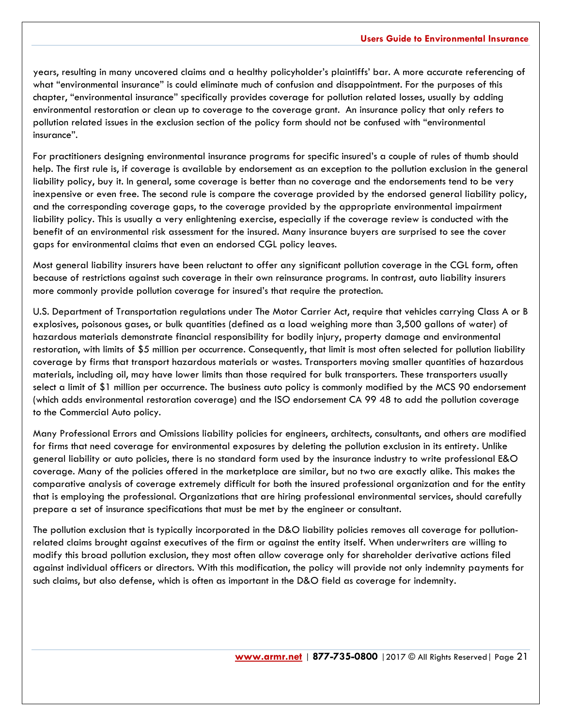years, resulting in many uncovered claims and a healthy policyholder's plaintiffs' bar. A more accurate referencing of what "environmental insurance" is could eliminate much of confusion and disappointment. For the purposes of this chapter, "environmental insurance" specifically provides coverage for pollution related losses, usually by adding environmental restoration or clean up to coverage to the coverage grant. An insurance policy that only refers to pollution related issues in the exclusion section of the policy form should not be confused with "environmental insurance".

For practitioners designing environmental insurance programs for specific insured's a couple of rules of thumb should help. The first rule is, if coverage is available by endorsement as an exception to the pollution exclusion in the general liability policy, buy it. In general, some coverage is better than no coverage and the endorsements tend to be very inexpensive or even free. The second rule is compare the coverage provided by the endorsed general liability policy, and the corresponding coverage gaps, to the coverage provided by the appropriate environmental impairment liability policy. This is usually a very enlightening exercise, especially if the coverage review is conducted with the benefit of an environmental risk assessment for the insured. Many insurance buyers are surprised to see the cover gaps for environmental claims that even an endorsed CGL policy leaves.

Most general liability insurers have been reluctant to offer any significant pollution coverage in the CGL form, often because of restrictions against such coverage in their own reinsurance programs. In contrast, auto liability insurers more commonly provide pollution coverage for insured's that require the protection.

U.S. Department of Transportation regulations under The Motor Carrier Act, require that vehicles carrying Class A or B explosives, poisonous gases, or bulk quantities (defined as a load weighing more than 3,500 gallons of water) of hazardous materials demonstrate financial responsibility for bodily injury, property damage and environmental restoration, with limits of \$5 million per occurrence. Consequently, that limit is most often selected for pollution liability coverage by firms that transport hazardous materials or wastes. Transporters moving smaller quantities of hazardous materials, including oil, may have lower limits than those required for bulk transporters. These transporters usually select a limit of \$1 million per occurrence. The business auto policy is commonly modified by the MCS 90 endorsement (which adds environmental restoration coverage) and the ISO endorsement CA 99 48 to add the pollution coverage to the Commercial Auto policy.

Many Professional Errors and Omissions liability policies for engineers, architects, consultants, and others are modified for firms that need coverage for environmental exposures by deleting the pollution exclusion in its entirety. Unlike general liability or auto policies, there is no standard form used by the insurance industry to write professional E&O coverage. Many of the policies offered in the marketplace are similar, but no two are exactly alike. This makes the comparative analysis of coverage extremely difficult for both the insured professional organization and for the entity that is employing the professional. Organizations that are hiring professional environmental services, should carefully prepare a set of insurance specifications that must be met by the engineer or consultant.

The pollution exclusion that is typically incorporated in the D&O liability policies removes all coverage for pollutionrelated claims brought against executives of the firm or against the entity itself. When underwriters are willing to modify this broad pollution exclusion, they most often allow coverage only for shareholder derivative actions filed against individual officers or directors. With this modification, the policy will provide not only indemnity payments for such claims, but also defense, which is often as important in the D&O field as coverage for indemnity.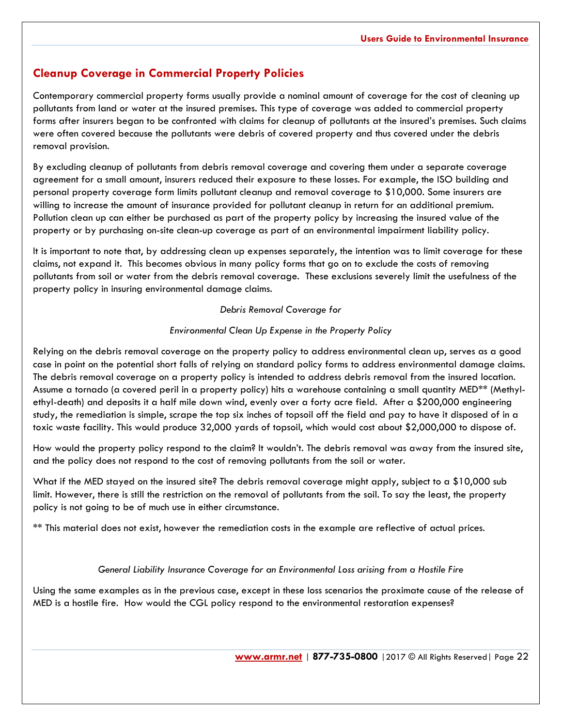## **Cleanup Coverage in Commercial Property Policies**

Contemporary commercial property forms usually provide a nominal amount of coverage for the cost of cleaning up pollutants from land or water at the insured premises. This type of coverage was added to commercial property forms after insurers began to be confronted with claims for cleanup of pollutants at the insured's premises. Such claims were often covered because the pollutants were debris of covered property and thus covered under the debris removal provision.

By excluding cleanup of pollutants from debris removal coverage and covering them under a separate coverage agreement for a small amount, insurers reduced their exposure to these losses. For example, the ISO building and personal property coverage form limits pollutant cleanup and removal coverage to \$10,000. Some insurers are willing to increase the amount of insurance provided for pollutant cleanup in return for an additional premium. Pollution clean up can either be purchased as part of the property policy by increasing the insured value of the property or by purchasing on-site clean-up coverage as part of an environmental impairment liability policy.

It is important to note that, by addressing clean up expenses separately, the intention was to limit coverage for these claims, not expand it. This becomes obvious in many policy forms that go on to exclude the costs of removing pollutants from soil or water from the debris removal coverage. These exclusions severely limit the usefulness of the property policy in insuring environmental damage claims.

#### *Debris Removal Coverage for*

#### *Environmental Clean Up Expense in the Property Policy*

Relying on the debris removal coverage on the property policy to address environmental clean up, serves as a good case in point on the potential short falls of relying on standard policy forms to address environmental damage claims. The debris removal coverage on a property policy is intended to address debris removal from the insured location. Assume a tornado (a covered peril in a property policy) hits a warehouse containing a small quantity MED\*\* (Methylethyl-death) and deposits it a half mile down wind, evenly over a forty acre field. After a \$200,000 engineering study, the remediation is simple, scrape the top six inches of topsoil off the field and pay to have it disposed of in a toxic waste facility. This would produce 32,000 yards of topsoil, which would cost about \$2,000,000 to dispose of.

How would the property policy respond to the claim? It wouldn't. The debris removal was away from the insured site, and the policy does not respond to the cost of removing pollutants from the soil or water.

What if the MED stayed on the insured site? The debris removal coverage might apply, subject to a \$10,000 sub limit. However, there is still the restriction on the removal of pollutants from the soil. To say the least, the property policy is not going to be of much use in either circumstance.

\*\* This material does not exist, however the remediation costs in the example are reflective of actual prices.

#### *General Liability Insurance Coverage for an Environmental Loss arising from a Hostile Fire*

Using the same examples as in the previous case, except in these loss scenarios the proximate cause of the release of MED is a hostile fire. How would the CGL policy respond to the environmental restoration expenses?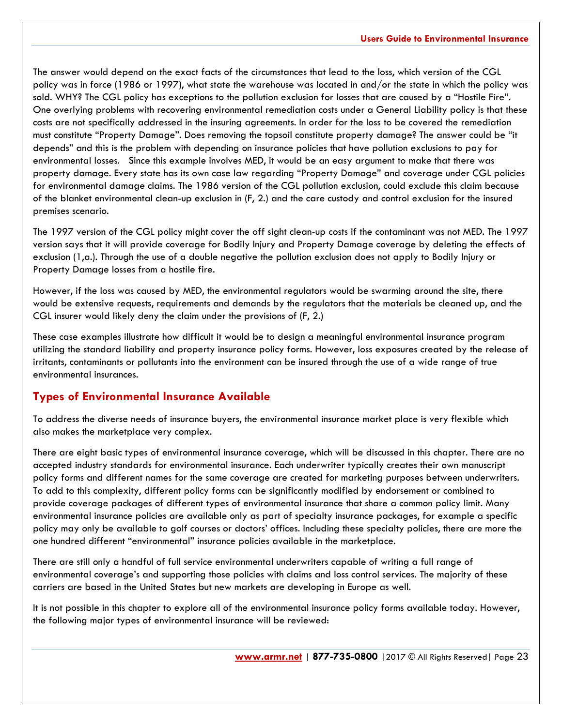The answer would depend on the exact facts of the circumstances that lead to the loss, which version of the CGL policy was in force (1986 or 1997), what state the warehouse was located in and/or the state in which the policy was sold. WHY? The CGL policy has exceptions to the pollution exclusion for losses that are caused by a "Hostile Fire". One overlying problems with recovering environmental remediation costs under a General Liability policy is that these costs are not specifically addressed in the insuring agreements. In order for the loss to be covered the remediation must constitute "Property Damage". Does removing the topsoil constitute property damage? The answer could be "it depends" and this is the problem with depending on insurance policies that have pollution exclusions to pay for environmental losses. Since this example involves MED, it would be an easy argument to make that there was property damage. Every state has its own case law regarding "Property Damage" and coverage under CGL policies for environmental damage claims. The 1986 version of the CGL pollution exclusion, could exclude this claim because of the blanket environmental clean-up exclusion in (F, 2.) and the care custody and control exclusion for the insured premises scenario.

The 1997 version of the CGL policy might cover the off sight clean-up costs if the contaminant was not MED. The 1997 version says that it will provide coverage for Bodily Injury and Property Damage coverage by deleting the effects of exclusion (1,a.). Through the use of a double negative the pollution exclusion does not apply to Bodily Injury or Property Damage losses from a hostile fire.

However, if the loss was caused by MED, the environmental regulators would be swarming around the site, there would be extensive requests, requirements and demands by the regulators that the materials be cleaned up, and the CGL insurer would likely deny the claim under the provisions of (F, 2.)

These case examples illustrate how difficult it would be to design a meaningful environmental insurance program utilizing the standard liability and property insurance policy forms. However, loss exposures created by the release of irritants, contaminants or pollutants into the environment can be insured through the use of a wide range of true environmental insurances.

## **Types of Environmental Insurance Available**

To address the diverse needs of insurance buyers, the environmental insurance market place is very flexible which also makes the marketplace very complex.

There are eight basic types of environmental insurance coverage, which will be discussed in this chapter. There are no accepted industry standards for environmental insurance. Each underwriter typically creates their own manuscript policy forms and different names for the same coverage are created for marketing purposes between underwriters. To add to this complexity, different policy forms can be significantly modified by endorsement or combined to provide coverage packages of different types of environmental insurance that share a common policy limit. Many environmental insurance policies are available only as part of specialty insurance packages, for example a specific policy may only be available to golf courses or doctors' offices. Including these specialty policies, there are more the one hundred different "environmental" insurance policies available in the marketplace.

There are still only a handful of full service environmental underwriters capable of writing a full range of environmental coverage's and supporting those policies with claims and loss control services. The majority of these carriers are based in the United States but new markets are developing in Europe as well.

It is not possible in this chapter to explore all of the environmental insurance policy forms available today. However, the following major types of environmental insurance will be reviewed: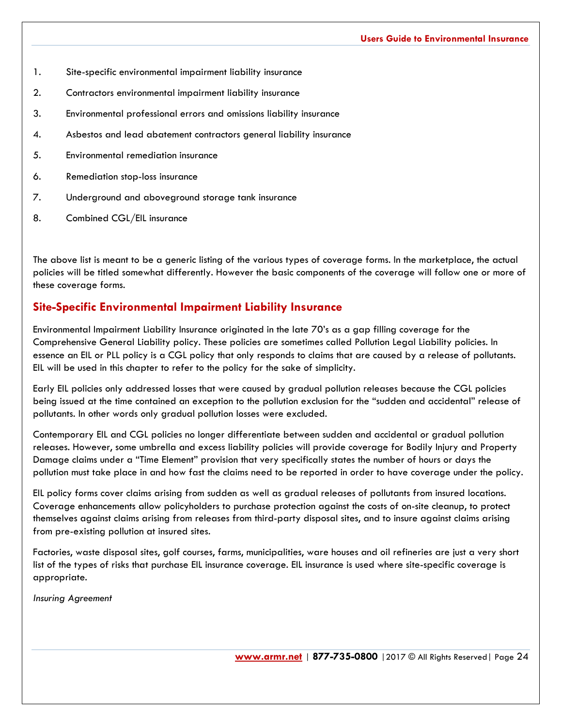- 1. Site-specific environmental impairment liability insurance
- 2. Contractors environmental impairment liability insurance
- 3. Environmental professional errors and omissions liability insurance
- 4. Asbestos and lead abatement contractors general liability insurance
- 5. Environmental remediation insurance
- 6. Remediation stop-loss insurance
- 7. Underground and aboveground storage tank insurance
- 8. Combined CGL/EIL insurance

The above list is meant to be a generic listing of the various types of coverage forms. In the marketplace, the actual policies will be titled somewhat differently. However the basic components of the coverage will follow one or more of these coverage forms.

## **Site-Specific Environmental Impairment Liability Insurance**

Environmental Impairment Liability Insurance originated in the late 70's as a gap filling coverage for the Comprehensive General Liability policy. These policies are sometimes called Pollution Legal Liability policies. In essence an EIL or PLL policy is a CGL policy that only responds to claims that are caused by a release of pollutants. EIL will be used in this chapter to refer to the policy for the sake of simplicity.

Early EIL policies only addressed losses that were caused by gradual pollution releases because the CGL policies being issued at the time contained an exception to the pollution exclusion for the "sudden and accidental" release of pollutants. In other words only gradual pollution losses were excluded.

Contemporary EIL and CGL policies no longer differentiate between sudden and accidental or gradual pollution releases. However, some umbrella and excess liability policies will provide coverage for Bodily Injury and Property Damage claims under a "Time Element" provision that very specifically states the number of hours or days the pollution must take place in and how fast the claims need to be reported in order to have coverage under the policy.

EIL policy forms cover claims arising from sudden as well as gradual releases of pollutants from insured locations. Coverage enhancements allow policyholders to purchase protection against the costs of on-site cleanup, to protect themselves against claims arising from releases from third-party disposal sites, and to insure against claims arising from pre-existing pollution at insured sites.

Factories, waste disposal sites, golf courses, farms, municipalities, ware houses and oil refineries are just a very short list of the types of risks that purchase EIL insurance coverage. EIL insurance is used where site-specific coverage is appropriate.

*Insuring Agreement*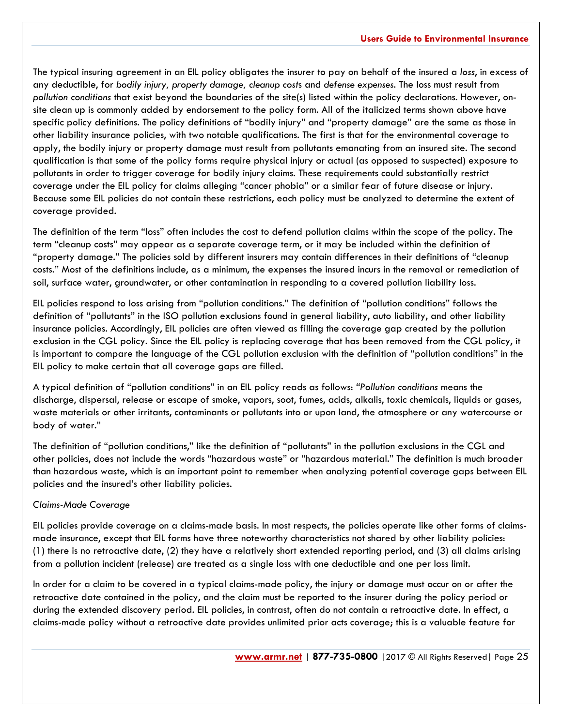The typical insuring agreement in an EIL policy obligates the insurer to pay on behalf of the insured a *loss*, in excess of any deductible, for *bodily injury, property damage, cleanup cost*s and *defense expenses*. The loss must result from *pollution conditions* that exist beyond the boundaries of the site(s) listed within the policy declarations. However, onsite clean up is commonly added by endorsement to the policy form. All of the italicized terms shown above have specific policy definitions. The policy definitions of "bodily injury" and "property damage" are the same as those in other liability insurance policies, with two notable qualifications. The first is that for the environmental coverage to apply, the bodily injury or property damage must result from pollutants emanating from an insured site. The second qualification is that some of the policy forms require physical injury or actual (as opposed to suspected) exposure to pollutants in order to trigger coverage for bodily injury claims. These requirements could substantially restrict coverage under the EIL policy for claims alleging "cancer phobia" or a similar fear of future disease or injury. Because some EIL policies do not contain these restrictions, each policy must be analyzed to determine the extent of coverage provided.

The definition of the term "loss" often includes the cost to defend pollution claims within the scope of the policy. The term "cleanup costs" may appear as a separate coverage term, or it may be included within the definition of "property damage." The policies sold by different insurers may contain differences in their definitions of "cleanup costs." Most of the definitions include, as a minimum, the expenses the insured incurs in the removal or remediation of soil, surface water, groundwater, or other contamination in responding to a covered pollution liability loss.

EIL policies respond to loss arising from "pollution conditions." The definition of "pollution conditions" follows the definition of "pollutants" in the ISO pollution exclusions found in general liability, auto liability, and other liability insurance policies. Accordingly, EIL policies are often viewed as filling the coverage gap created by the pollution exclusion in the CGL policy. Since the EIL policy is replacing coverage that has been removed from the CGL policy, it is important to compare the language of the CGL pollution exclusion with the definition of "pollution conditions" in the EIL policy to make certain that all coverage gaps are filled.

A typical definition of "pollution conditions" in an EIL policy reads as follows: *"Pollution conditions* means the discharge, dispersal, release or escape of smoke, vapors, soot, fumes, acids, alkalis, toxic chemicals, liquids or gases, waste materials or other irritants, contaminants or pollutants into or upon land, the atmosphere or any watercourse or body of water."

The definition of "pollution conditions," like the definition of "pollutants" in the pollution exclusions in the CGL and other policies, does not include the words "hazardous waste" or "hazardous material." The definition is much broader than hazardous waste, which is an important point to remember when analyzing potential coverage gaps between EIL policies and the insured's other liability policies.

#### *Claims-Made Coverage*

EIL policies provide coverage on a claims-made basis. In most respects, the policies operate like other forms of claimsmade insurance, except that EIL forms have three noteworthy characteristics not shared by other liability policies: (1) there is no retroactive date, (2) they have a relatively short extended reporting period, and (3) all claims arising from a pollution incident (release) are treated as a single loss with one deductible and one per loss limit.

In order for a claim to be covered in a typical claims-made policy, the injury or damage must occur on or after the retroactive date contained in the policy, and the claim must be reported to the insurer during the policy period or during the extended discovery period. EIL policies, in contrast, often do not contain a retroactive date. In effect, a claims-made policy without a retroactive date provides unlimited prior acts coverage; this is a valuable feature for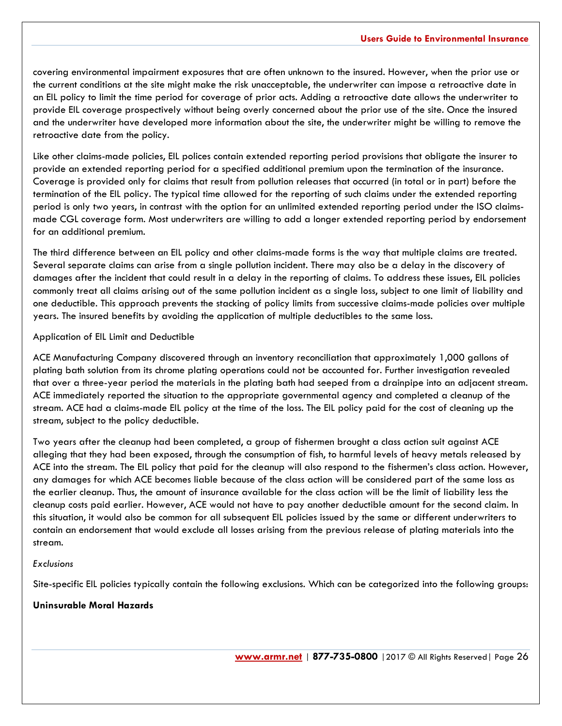covering environmental impairment exposures that are often unknown to the insured. However, when the prior use or the current conditions at the site might make the risk unacceptable, the underwriter can impose a retroactive date in an EIL policy to limit the time period for coverage of prior acts. Adding a retroactive date allows the underwriter to provide EIL coverage prospectively without being overly concerned about the prior use of the site. Once the insured and the underwriter have developed more information about the site, the underwriter might be willing to remove the retroactive date from the policy.

Like other claims-made policies, EIL polices contain extended reporting period provisions that obligate the insurer to provide an extended reporting period for a specified additional premium upon the termination of the insurance. Coverage is provided only for claims that result from pollution releases that occurred (in total or in part) before the termination of the EIL policy. The typical time allowed for the reporting of such claims under the extended reporting period is only two years, in contrast with the option for an unlimited extended reporting period under the ISO claimsmade CGL coverage form. Most underwriters are willing to add a longer extended reporting period by endorsement for an additional premium.

The third difference between an EIL policy and other claims-made forms is the way that multiple claims are treated. Several separate claims can arise from a single pollution incident. There may also be a delay in the discovery of damages after the incident that could result in a delay in the reporting of claims. To address these issues, EIL policies commonly treat all claims arising out of the same pollution incident as a single loss, subject to one limit of liability and one deductible. This approach prevents the stacking of policy limits from successive claims-made policies over multiple years. The insured benefits by avoiding the application of multiple deductibles to the same loss.

#### Application of EIL Limit and Deductible

ACE Manufacturing Company discovered through an inventory reconciliation that approximately 1,000 gallons of plating bath solution from its chrome plating operations could not be accounted for. Further investigation revealed that over a three-year period the materials in the plating bath had seeped from a drainpipe into an adjacent stream. ACE immediately reported the situation to the appropriate governmental agency and completed a cleanup of the stream. ACE had a claims-made EIL policy at the time of the loss. The EIL policy paid for the cost of cleaning up the stream, subject to the policy deductible.

Two years after the cleanup had been completed, a group of fishermen brought a class action suit against ACE alleging that they had been exposed, through the consumption of fish, to harmful levels of heavy metals released by ACE into the stream. The EIL policy that paid for the cleanup will also respond to the fishermen's class action. However, any damages for which ACE becomes liable because of the class action will be considered part of the same loss as the earlier cleanup. Thus, the amount of insurance available for the class action will be the limit of liability less the cleanup costs paid earlier. However, ACE would not have to pay another deductible amount for the second claim. In this situation, it would also be common for all subsequent EIL policies issued by the same or different underwriters to contain an endorsement that would exclude all losses arising from the previous release of plating materials into the stream.

#### *Exclusions*

Site-specific EIL policies typically contain the following exclusions. Which can be categorized into the following groups:

#### **Uninsurable Moral Hazards**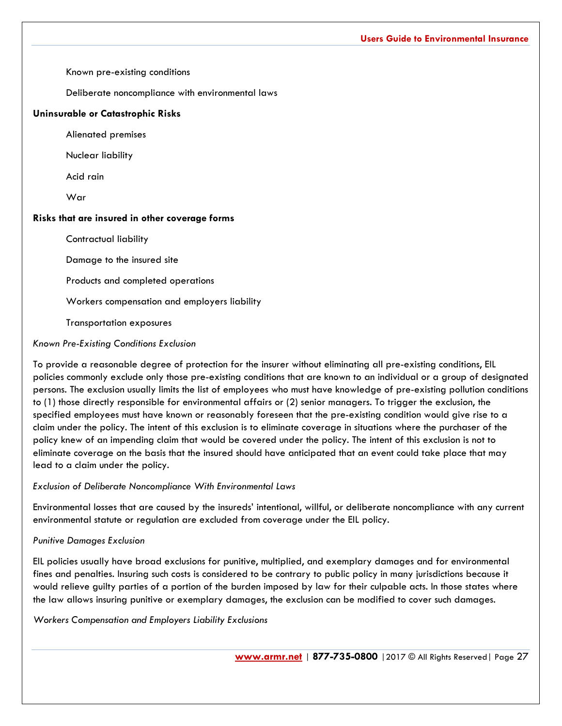Known pre-existing conditions

Deliberate noncompliance with environmental laws

#### **Uninsurable or Catastrophic Risks**

Alienated premises

Nuclear liability

Acid rain

War

#### **Risks that are insured in other coverage forms**

Contractual liability

Damage to the insured site

Products and completed operations

Workers compensation and employers liability

Transportation exposures

#### *Known Pre-Existing Conditions Exclusion*

To provide a reasonable degree of protection for the insurer without eliminating all pre-existing conditions, EIL policies commonly exclude only those pre-existing conditions that are known to an individual or a group of designated persons. The exclusion usually limits the list of employees who must have knowledge of pre-existing pollution conditions to (1) those directly responsible for environmental affairs or (2) senior managers. To trigger the exclusion, the specified employees must have known or reasonably foreseen that the pre-existing condition would give rise to a claim under the policy. The intent of this exclusion is to eliminate coverage in situations where the purchaser of the policy knew of an impending claim that would be covered under the policy. The intent of this exclusion is not to eliminate coverage on the basis that the insured should have anticipated that an event could take place that may lead to a claim under the policy.

*Exclusion of Deliberate Noncompliance With Environmental Laws*

Environmental losses that are caused by the insureds' intentional, willful, or deliberate noncompliance with any current environmental statute or regulation are excluded from coverage under the EIL policy.

#### *Punitive Damages Exclusion*

EIL policies usually have broad exclusions for punitive, multiplied, and exemplary damages and for environmental fines and penalties. Insuring such costs is considered to be contrary to public policy in many jurisdictions because it would relieve guilty parties of a portion of the burden imposed by law for their culpable acts. In those states where the law allows insuring punitive or exemplary damages, the exclusion can be modified to cover such damages.

*Workers Compensation and Employers Liability Exclusions*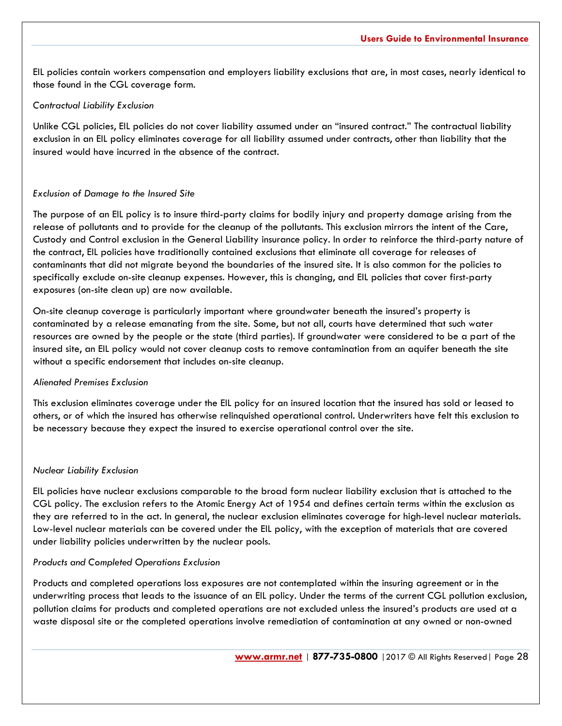EIL policies contain workers compensation and employers liability exclusions that are, in most cases, nearly identical to those found in the CGL coverage form.

#### *Contractual Liability Exclusion*

Unlike CGL policies, EIL policies do not cover liability assumed under an "insured contract." The contractual liability exclusion in an EIL policy eliminates coverage for all liability assumed under contracts, other than liability that the insured would have incurred in the absence of the contract.

#### *Exclusion of Damage to the Insured Site*

The purpose of an EIL policy is to insure third-party claims for bodily injury and property damage arising from the release of pollutants and to provide for the cleanup of the pollutants. This exclusion mirrors the intent of the Care, Custody and Control exclusion in the General Liability insurance policy. In order to reinforce the third-party nature of the contract, EIL policies have traditionally contained exclusions that eliminate all coverage for releases of contaminants that did not migrate beyond the boundaries of the insured site. It is also common for the policies to specifically exclude on-site cleanup expenses. However, this is changing, and EIL policies that cover first-party exposures (on-site clean up) are now available.

On-site cleanup coverage is particularly important where groundwater beneath the insured's property is contaminated by a release emanating from the site. Some, but not all, courts have determined that such water resources are owned by the people or the state (third parties). If groundwater were considered to be a part of the insured site, an EIL policy would not cover cleanup costs to remove contamination from an aquifer beneath the site without a specific endorsement that includes on-site cleanup.

#### *Alienated Premises Exclusion*

This exclusion eliminates coverage under the EIL policy for an insured location that the insured has sold or leased to others, or of which the insured has otherwise relinquished operational control. Underwriters have felt this exclusion to be necessary because they expect the insured to exercise operational control over the site.

#### *Nuclear Liability Exclusion*

EIL policies have nuclear exclusions comparable to the broad form nuclear liability exclusion that is attached to the CGL policy. The exclusion refers to the Atomic Energy Act of 1954 and defines certain terms within the exclusion as they are referred to in the act. In general, the nuclear exclusion eliminates coverage for high-level nuclear materials. Low-level nuclear materials can be covered under the EIL policy, with the exception of materials that are covered under liability policies underwritten by the nuclear pools.

#### *Products and Completed Operations Exclusion*

Products and completed operations loss exposures are not contemplated within the insuring agreement or in the underwriting process that leads to the issuance of an EIL policy. Under the terms of the current CGL pollution exclusion, pollution claims for products and completed operations are not excluded unless the insured's products are used at a waste disposal site or the completed operations involve remediation of contamination at any owned or non-owned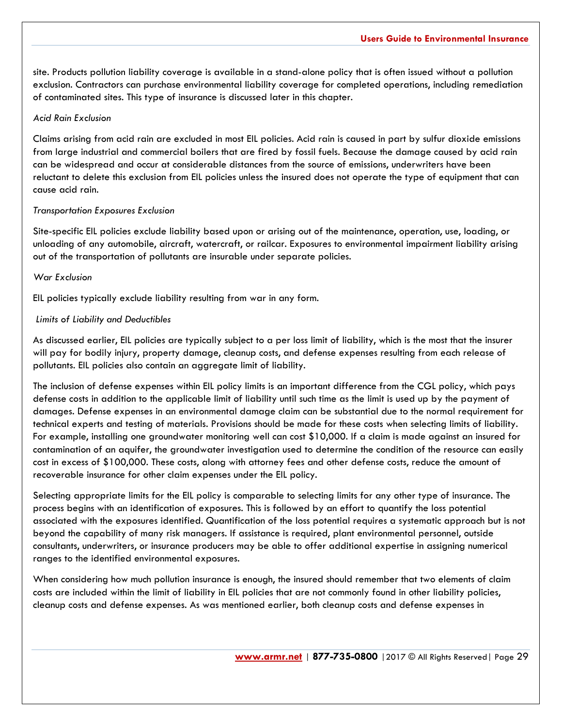site. Products pollution liability coverage is available in a stand-alone policy that is often issued without a pollution exclusion. Contractors can purchase environmental liability coverage for completed operations, including remediation of contaminated sites. This type of insurance is discussed later in this chapter.

#### *Acid Rain Exclusion*

Claims arising from acid rain are excluded in most EIL policies. Acid rain is caused in part by sulfur dioxide emissions from large industrial and commercial boilers that are fired by fossil fuels. Because the damage caused by acid rain can be widespread and occur at considerable distances from the source of emissions, underwriters have been reluctant to delete this exclusion from EIL policies unless the insured does not operate the type of equipment that can cause acid rain.

#### *Transportation Exposures Exclusion*

Site-specific EIL policies exclude liability based upon or arising out of the maintenance, operation, use, loading, or unloading of any automobile, aircraft, watercraft, or railcar. Exposures to environmental impairment liability arising out of the transportation of pollutants are insurable under separate policies.

### *War Exclusion*

EIL policies typically exclude liability resulting from war in any form.

#### *Limits of Liability and Deductibles*

As discussed earlier, EIL policies are typically subject to a per loss limit of liability, which is the most that the insurer will pay for bodily injury, property damage, cleanup costs, and defense expenses resulting from each release of pollutants. EIL policies also contain an aggregate limit of liability.

The inclusion of defense expenses within EIL policy limits is an important difference from the CGL policy, which pays defense costs in addition to the applicable limit of liability until such time as the limit is used up by the payment of damages. Defense expenses in an environmental damage claim can be substantial due to the normal requirement for technical experts and testing of materials. Provisions should be made for these costs when selecting limits of liability. For example, installing one groundwater monitoring well can cost \$10,000. If a claim is made against an insured for contamination of an aquifer, the groundwater investigation used to determine the condition of the resource can easily cost in excess of \$100,000. These costs, along with attorney fees and other defense costs, reduce the amount of recoverable insurance for other claim expenses under the EIL policy.

Selecting appropriate limits for the EIL policy is comparable to selecting limits for any other type of insurance. The process begins with an identification of exposures. This is followed by an effort to quantify the loss potential associated with the exposures identified. Quantification of the loss potential requires a systematic approach but is not beyond the capability of many risk managers. If assistance is required, plant environmental personnel, outside consultants, underwriters, or insurance producers may be able to offer additional expertise in assigning numerical ranges to the identified environmental exposures.

When considering how much pollution insurance is enough, the insured should remember that two elements of claim costs are included within the limit of liability in EIL policies that are not commonly found in other liability policies, cleanup costs and defense expenses. As was mentioned earlier, both cleanup costs and defense expenses in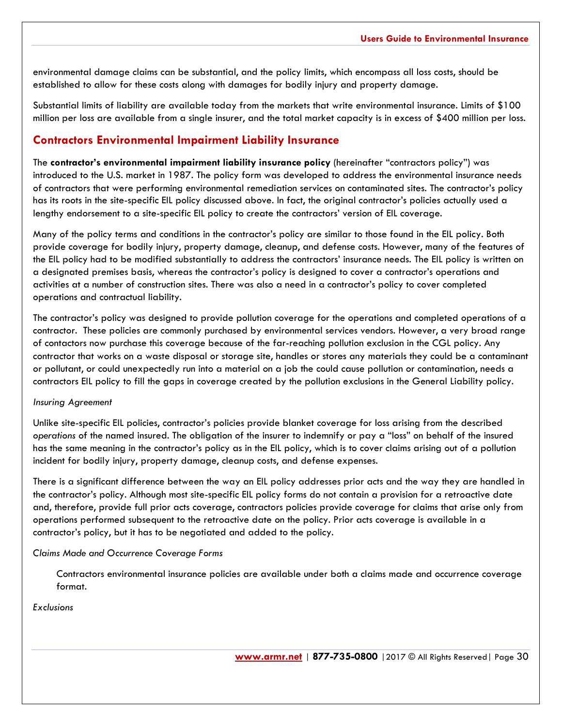environmental damage claims can be substantial, and the policy limits, which encompass all loss costs, should be established to allow for these costs along with damages for bodily injury and property damage.

Substantial limits of liability are available today from the markets that write environmental insurance. Limits of \$100 million per loss are available from a single insurer, and the total market capacity is in excess of \$400 million per loss.

## **Contractors Environmental Impairment Liability Insurance**

The **contractor's environmental impairment liability insurance policy** (hereinafter "contractors policy") was introduced to the U.S. market in 1987. The policy form was developed to address the environmental insurance needs of contractors that were performing environmental remediation services on contaminated sites. The contractor's policy has its roots in the site-specific EIL policy discussed above. In fact, the original contractor's policies actually used a lengthy endorsement to a site-specific EIL policy to create the contractors' version of EIL coverage.

Many of the policy terms and conditions in the contractor's policy are similar to those found in the EIL policy. Both provide coverage for bodily injury, property damage, cleanup, and defense costs. However, many of the features of the EIL policy had to be modified substantially to address the contractors' insurance needs. The EIL policy is written on a designated premises basis, whereas the contractor's policy is designed to cover a contractor's operations and activities at a number of construction sites. There was also a need in a contractor's policy to cover completed operations and contractual liability.

The contractor's policy was designed to provide pollution coverage for the operations and completed operations of a contractor. These policies are commonly purchased by environmental services vendors. However, a very broad range of contactors now purchase this coverage because of the far-reaching pollution exclusion in the CGL policy. Any contractor that works on a waste disposal or storage site, handles or stores any materials they could be a contaminant or pollutant, or could unexpectedly run into a material on a job the could cause pollution or contamination, needs a contractors EIL policy to fill the gaps in coverage created by the pollution exclusions in the General Liability policy.

#### *Insuring Agreement*

Unlike site-specific EIL policies, contractor's policies provide blanket coverage for loss arising from the described *operations* of the named insured. The obligation of the insurer to indemnify or pay a "loss" on behalf of the insured has the same meaning in the contractor's policy as in the EIL policy, which is to cover claims arising out of a pollution incident for bodily injury, property damage, cleanup costs, and defense expenses.

There is a significant difference between the way an EIL policy addresses prior acts and the way they are handled in the contractor's policy. Although most site-specific EIL policy forms do not contain a provision for a retroactive date and, therefore, provide full prior acts coverage, contractors policies provide coverage for claims that arise only from operations performed subsequent to the retroactive date on the policy. Prior acts coverage is available in a contractor's policy, but it has to be negotiated and added to the policy.

*Claims Made and Occurrence Coverage Forms*

Contractors environmental insurance policies are available under both a claims made and occurrence coverage format.

*Exclusions*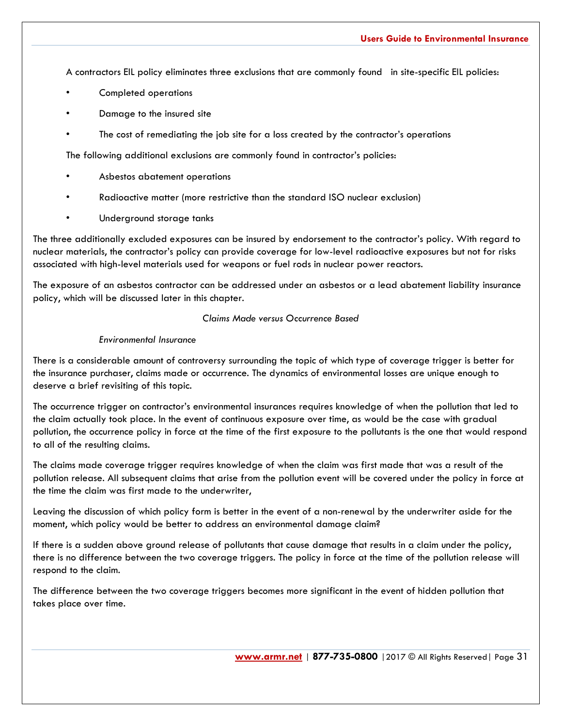A contractors EIL policy eliminates three exclusions that are commonly found in site-specific EIL policies:

- Completed operations
- Damage to the insured site
- The cost of remediating the job site for a loss created by the contractor's operations

The following additional exclusions are commonly found in contractor's policies:

- Asbestos abatement operations
- Radioactive matter (more restrictive than the standard ISO nuclear exclusion)
- Underground storage tanks

The three additionally excluded exposures can be insured by endorsement to the contractor's policy. With regard to nuclear materials, the contractor's policy can provide coverage for low-level radioactive exposures but not for risks associated with high-level materials used for weapons or fuel rods in nuclear power reactors.

The exposure of an asbestos contractor can be addressed under an asbestos or a lead abatement liability insurance policy, which will be discussed later in this chapter.

#### *Claims Made versus Occurrence Based*

#### *Environmental Insurance*

There is a considerable amount of controversy surrounding the topic of which type of coverage trigger is better for the insurance purchaser, claims made or occurrence. The dynamics of environmental losses are unique enough to deserve a brief revisiting of this topic.

The occurrence trigger on contractor's environmental insurances requires knowledge of when the pollution that led to the claim actually took place. In the event of continuous exposure over time, as would be the case with gradual pollution, the occurrence policy in force at the time of the first exposure to the pollutants is the one that would respond to all of the resulting claims.

The claims made coverage trigger requires knowledge of when the claim was first made that was a result of the pollution release. All subsequent claims that arise from the pollution event will be covered under the policy in force at the time the claim was first made to the underwriter,

Leaving the discussion of which policy form is better in the event of a non-renewal by the underwriter aside for the moment, which policy would be better to address an environmental damage claim?

If there is a sudden above ground release of pollutants that cause damage that results in a claim under the policy, there is no difference between the two coverage triggers. The policy in force at the time of the pollution release will respond to the claim.

The difference between the two coverage triggers becomes more significant in the event of hidden pollution that takes place over time.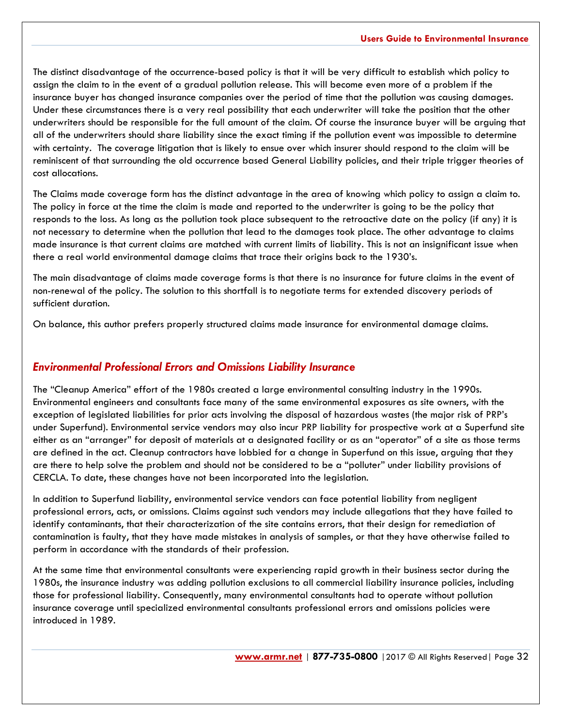The distinct disadvantage of the occurrence-based policy is that it will be very difficult to establish which policy to assign the claim to in the event of a gradual pollution release. This will become even more of a problem if the insurance buyer has changed insurance companies over the period of time that the pollution was causing damages. Under these circumstances there is a very real possibility that each underwriter will take the position that the other underwriters should be responsible for the full amount of the claim. Of course the insurance buyer will be arguing that all of the underwriters should share liability since the exact timing if the pollution event was impossible to determine with certainty. The coverage litigation that is likely to ensue over which insurer should respond to the claim will be reminiscent of that surrounding the old occurrence based General Liability policies, and their triple trigger theories of cost allocations.

The Claims made coverage form has the distinct advantage in the area of knowing which policy to assign a claim to. The policy in force at the time the claim is made and reported to the underwriter is going to be the policy that responds to the loss. As long as the pollution took place subsequent to the retroactive date on the policy (if any) it is not necessary to determine when the pollution that lead to the damages took place. The other advantage to claims made insurance is that current claims are matched with current limits of liability. This is not an insignificant issue when there a real world environmental damage claims that trace their origins back to the 1930's.

The main disadvantage of claims made coverage forms is that there is no insurance for future claims in the event of non-renewal of the policy. The solution to this shortfall is to negotiate terms for extended discovery periods of sufficient duration.

On balance, this author prefers properly structured claims made insurance for environmental damage claims.

## *Environmental Professional Errors and Omissions Liability Insurance*

The "Cleanup America" effort of the 1980s created a large environmental consulting industry in the 1990s. Environmental engineers and consultants face many of the same environmental exposures as site owners, with the exception of legislated liabilities for prior acts involving the disposal of hazardous wastes (the major risk of PRP's under Superfund). Environmental service vendors may also incur PRP liability for prospective work at a Superfund site either as an "arranger" for deposit of materials at a designated facility or as an "operator" of a site as those terms are defined in the act. Cleanup contractors have lobbied for a change in Superfund on this issue, arguing that they are there to help solve the problem and should not be considered to be a "polluter" under liability provisions of CERCLA. To date, these changes have not been incorporated into the legislation.

In addition to Superfund liability, environmental service vendors can face potential liability from negligent professional errors, acts, or omissions. Claims against such vendors may include allegations that they have failed to identify contaminants, that their characterization of the site contains errors, that their design for remediation of contamination is faulty, that they have made mistakes in analysis of samples, or that they have otherwise failed to perform in accordance with the standards of their profession.

At the same time that environmental consultants were experiencing rapid growth in their business sector during the 1980s, the insurance industry was adding pollution exclusions to all commercial liability insurance policies, including those for professional liability. Consequently, many environmental consultants had to operate without pollution insurance coverage until specialized environmental consultants professional errors and omissions policies were introduced in 1989.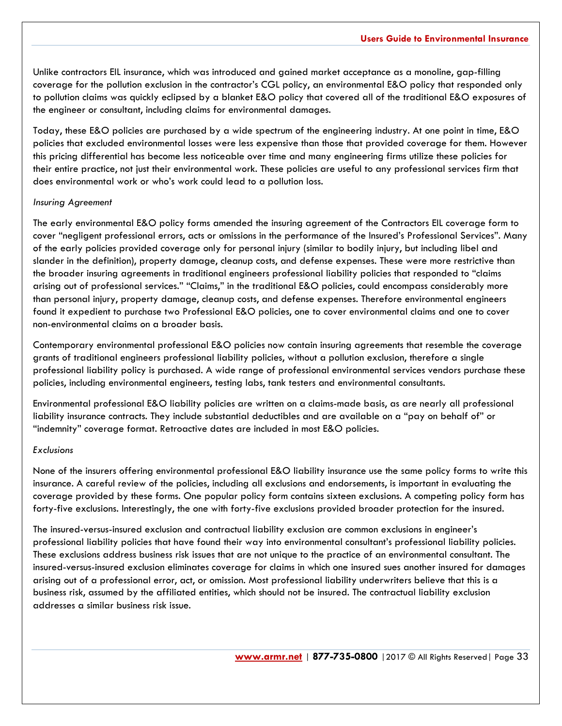Unlike contractors EIL insurance, which was introduced and gained market acceptance as a monoline, gap-filling coverage for the pollution exclusion in the contractor's CGL policy, an environmental E&O policy that responded only to pollution claims was quickly eclipsed by a blanket E&O policy that covered all of the traditional E&O exposures of the engineer or consultant, including claims for environmental damages.

Today, these E&O policies are purchased by a wide spectrum of the engineering industry. At one point in time, E&O policies that excluded environmental losses were less expensive than those that provided coverage for them. However this pricing differential has become less noticeable over time and many engineering firms utilize these policies for their entire practice, not just their environmental work. These policies are useful to any professional services firm that does environmental work or who's work could lead to a pollution loss.

#### *Insuring Agreement*

The early environmental E&O policy forms amended the insuring agreement of the Contractors EIL coverage form to cover "negligent professional errors, acts or omissions in the performance of the Insured's Professional Services". Many of the early policies provided coverage only for personal injury (similar to bodily injury, but including libel and slander in the definition), property damage, cleanup costs, and defense expenses. These were more restrictive than the broader insuring agreements in traditional engineers professional liability policies that responded to "claims arising out of professional services." "Claims," in the traditional E&O policies, could encompass considerably more than personal injury, property damage, cleanup costs, and defense expenses. Therefore environmental engineers found it expedient to purchase two Professional E&O policies, one to cover environmental claims and one to cover non-environmental claims on a broader basis.

Contemporary environmental professional E&O policies now contain insuring agreements that resemble the coverage grants of traditional engineers professional liability policies, without a pollution exclusion, therefore a single professional liability policy is purchased. A wide range of professional environmental services vendors purchase these policies, including environmental engineers, testing labs, tank testers and environmental consultants.

Environmental professional E&O liability policies are written on a claims-made basis, as are nearly all professional liability insurance contracts. They include substantial deductibles and are available on a "pay on behalf of" or "indemnity" coverage format. Retroactive dates are included in most E&O policies.

#### *Exclusions*

None of the insurers offering environmental professional E&O liability insurance use the same policy forms to write this insurance. A careful review of the policies, including all exclusions and endorsements, is important in evaluating the coverage provided by these forms. One popular policy form contains sixteen exclusions. A competing policy form has forty-five exclusions. Interestingly, the one with forty-five exclusions provided broader protection for the insured.

The insured-versus-insured exclusion and contractual liability exclusion are common exclusions in engineer's professional liability policies that have found their way into environmental consultant's professional liability policies. These exclusions address business risk issues that are not unique to the practice of an environmental consultant. The insured-versus-insured exclusion eliminates coverage for claims in which one insured sues another insured for damages arising out of a professional error, act, or omission. Most professional liability underwriters believe that this is a business risk, assumed by the affiliated entities, which should not be insured. The contractual liability exclusion addresses a similar business risk issue.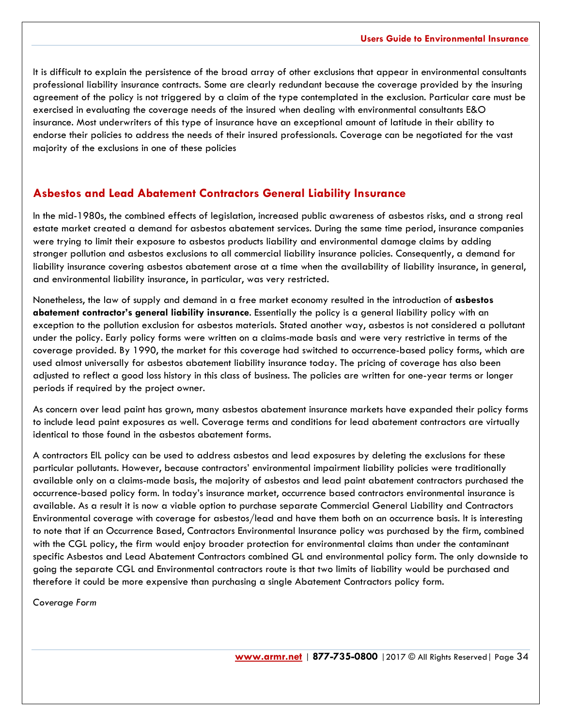It is difficult to explain the persistence of the broad array of other exclusions that appear in environmental consultants professional liability insurance contracts. Some are clearly redundant because the coverage provided by the insuring agreement of the policy is not triggered by a claim of the type contemplated in the exclusion. Particular care must be exercised in evaluating the coverage needs of the insured when dealing with environmental consultants E&O insurance. Most underwriters of this type of insurance have an exceptional amount of latitude in their ability to endorse their policies to address the needs of their insured professionals. Coverage can be negotiated for the vast majority of the exclusions in one of these policies

#### **Asbestos and Lead Abatement Contractors General Liability Insurance**

In the mid-1980s, the combined effects of legislation, increased public awareness of asbestos risks, and a strong real estate market created a demand for asbestos abatement services. During the same time period, insurance companies were trying to limit their exposure to asbestos products liability and environmental damage claims by adding stronger pollution and asbestos exclusions to all commercial liability insurance policies. Consequently, a demand for liability insurance covering asbestos abatement arose at a time when the availability of liability insurance, in general, and environmental liability insurance, in particular, was very restricted.

Nonetheless, the law of supply and demand in a free market economy resulted in the introduction of **asbestos abatement contractor's general liability insurance**. Essentially the policy is a general liability policy with an exception to the pollution exclusion for asbestos materials. Stated another way, asbestos is not considered a pollutant under the policy. Early policy forms were written on a claims-made basis and were very restrictive in terms of the coverage provided. By 1990, the market for this coverage had switched to occurrence-based policy forms, which are used almost universally for asbestos abatement liability insurance today. The pricing of coverage has also been adjusted to reflect a good loss history in this class of business. The policies are written for one-year terms or longer periods if required by the project owner.

As concern over lead paint has grown, many asbestos abatement insurance markets have expanded their policy forms to include lead paint exposures as well. Coverage terms and conditions for lead abatement contractors are virtually identical to those found in the asbestos abatement forms.

A contractors EIL policy can be used to address asbestos and lead exposures by deleting the exclusions for these particular pollutants. However, because contractors' environmental impairment liability policies were traditionally available only on a claims-made basis, the majority of asbestos and lead paint abatement contractors purchased the occurrence-based policy form. In today's insurance market, occurrence based contractors environmental insurance is available. As a result it is now a viable option to purchase separate Commercial General Liability and Contractors Environmental coverage with coverage for asbestos/lead and have them both on an occurrence basis. It is interesting to note that if an Occurrence Based, Contractors Environmental Insurance policy was purchased by the firm, combined with the CGL policy, the firm would enjoy broader protection for environmental claims than under the contaminant specific Asbestos and Lead Abatement Contractors combined GL and environmental policy form. The only downside to going the separate CGL and Environmental contractors route is that two limits of liability would be purchased and therefore it could be more expensive than purchasing a single Abatement Contractors policy form.

*Coverage Form*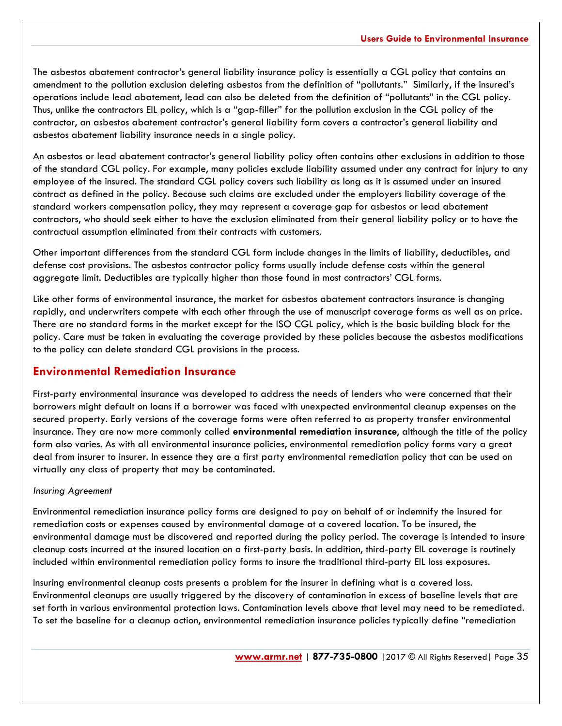The asbestos abatement contractor's general liability insurance policy is essentially a CGL policy that contains an amendment to the pollution exclusion deleting asbestos from the definition of "pollutants." Similarly, if the insured's operations include lead abatement, lead can also be deleted from the definition of "pollutants" in the CGL policy. Thus, unlike the contractors EIL policy, which is a "gap-filler" for the pollution exclusion in the CGL policy of the contractor, an asbestos abatement contractor's general liability form covers a contractor's general liability and asbestos abatement liability insurance needs in a single policy.

An asbestos or lead abatement contractor's general liability policy often contains other exclusions in addition to those of the standard CGL policy. For example, many policies exclude liability assumed under any contract for injury to any employee of the insured. The standard CGL policy covers such liability as long as it is assumed under an insured contract as defined in the policy. Because such claims are excluded under the employers liability coverage of the standard workers compensation policy, they may represent a coverage gap for asbestos or lead abatement contractors, who should seek either to have the exclusion eliminated from their general liability policy or to have the contractual assumption eliminated from their contracts with customers.

Other important differences from the standard CGL form include changes in the limits of liability, deductibles, and defense cost provisions. The asbestos contractor policy forms usually include defense costs within the general aggregate limit. Deductibles are typically higher than those found in most contractors' CGL forms.

Like other forms of environmental insurance, the market for asbestos abatement contractors insurance is changing rapidly, and underwriters compete with each other through the use of manuscript coverage forms as well as on price. There are no standard forms in the market except for the ISO CGL policy, which is the basic building block for the policy. Care must be taken in evaluating the coverage provided by these policies because the asbestos modifications to the policy can delete standard CGL provisions in the process.

## **Environmental Remediation Insurance**

First-party environmental insurance was developed to address the needs of lenders who were concerned that their borrowers might default on loans if a borrower was faced with unexpected environmental cleanup expenses on the secured property. Early versions of the coverage forms were often referred to as property transfer environmental insurance. They are now more commonly called **environmental remediation insurance**, although the title of the policy form also varies. As with all environmental insurance policies, environmental remediation policy forms vary a great deal from insurer to insurer. In essence they are a first party environmental remediation policy that can be used on virtually any class of property that may be contaminated.

#### *Insuring Agreement*

Environmental remediation insurance policy forms are designed to pay on behalf of or indemnify the insured for remediation costs or expenses caused by environmental damage at a covered location. To be insured, the environmental damage must be discovered and reported during the policy period. The coverage is intended to insure cleanup costs incurred at the insured location on a first-party basis. In addition, third-party EIL coverage is routinely included within environmental remediation policy forms to insure the traditional third-party EIL loss exposures.

Insuring environmental cleanup costs presents a problem for the insurer in defining what is a covered loss. Environmental cleanups are usually triggered by the discovery of contamination in excess of baseline levels that are set forth in various environmental protection laws. Contamination levels above that level may need to be remediated. To set the baseline for a cleanup action, environmental remediation insurance policies typically define "remediation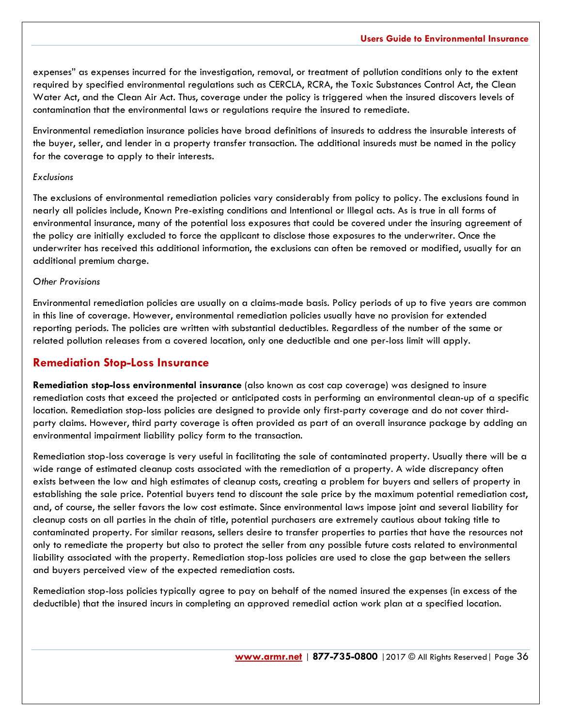expenses" as expenses incurred for the investigation, removal, or treatment of pollution conditions only to the extent required by specified environmental regulations such as CERCLA, RCRA, the Toxic Substances Control Act, the Clean Water Act, and the Clean Air Act. Thus, coverage under the policy is triggered when the insured discovers levels of contamination that the environmental laws or regulations require the insured to remediate.

Environmental remediation insurance policies have broad definitions of insureds to address the insurable interests of the buyer, seller, and lender in a property transfer transaction. The additional insureds must be named in the policy for the coverage to apply to their interests.

#### *Exclusions*

The exclusions of environmental remediation policies vary considerably from policy to policy. The exclusions found in nearly all policies include, Known Pre-existing conditions and Intentional or Illegal acts. As is true in all forms of environmental insurance, many of the potential loss exposures that could be covered under the insuring agreement of the policy are initially excluded to force the applicant to disclose those exposures to the underwriter. Once the underwriter has received this additional information, the exclusions can often be removed or modified, usually for an additional premium charge.

#### *Other Provisions*

Environmental remediation policies are usually on a claims-made basis. Policy periods of up to five years are common in this line of coverage. However, environmental remediation policies usually have no provision for extended reporting periods. The policies are written with substantial deductibles. Regardless of the number of the same or related pollution releases from a covered location, only one deductible and one per-loss limit will apply.

## **Remediation Stop-Loss Insurance**

**Remediation stop-loss environmental insurance** (also known as cost cap coverage) was designed to insure remediation costs that exceed the projected or anticipated costs in performing an environmental clean-up of a specific location. Remediation stop-loss policies are designed to provide only first-party coverage and do not cover thirdparty claims. However, third party coverage is often provided as part of an overall insurance package by adding an environmental impairment liability policy form to the transaction.

Remediation stop-loss coverage is very useful in facilitating the sale of contaminated property. Usually there will be a wide range of estimated cleanup costs associated with the remediation of a property. A wide discrepancy often exists between the low and high estimates of cleanup costs, creating a problem for buyers and sellers of property in establishing the sale price. Potential buyers tend to discount the sale price by the maximum potential remediation cost, and, of course, the seller favors the low cost estimate. Since environmental laws impose joint and several liability for cleanup costs on all parties in the chain of title, potential purchasers are extremely cautious about taking title to contaminated property. For similar reasons, sellers desire to transfer properties to parties that have the resources not only to remediate the property but also to protect the seller from any possible future costs related to environmental liability associated with the property. Remediation stop-loss policies are used to close the gap between the sellers and buyers perceived view of the expected remediation costs.

Remediation stop-loss policies typically agree to pay on behalf of the named insured the expenses (in excess of the deductible) that the insured incurs in completing an approved remedial action work plan at a specified location.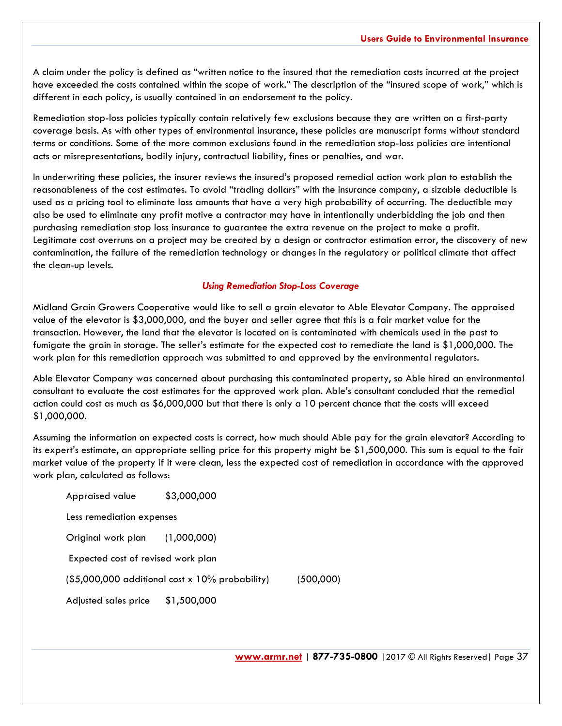A claim under the policy is defined as "written notice to the insured that the remediation costs incurred at the project have exceeded the costs contained within the scope of work." The description of the "insured scope of work," which is different in each policy, is usually contained in an endorsement to the policy.

Remediation stop-loss policies typically contain relatively few exclusions because they are written on a first-party coverage basis. As with other types of environmental insurance, these policies are manuscript forms without standard terms or conditions. Some of the more common exclusions found in the remediation stop-loss policies are intentional acts or misrepresentations, bodily injury, contractual liability, fines or penalties, and war.

In underwriting these policies, the insurer reviews the insured's proposed remedial action work plan to establish the reasonableness of the cost estimates. To avoid "trading dollars" with the insurance company, a sizable deductible is used as a pricing tool to eliminate loss amounts that have a very high probability of occurring. The deductible may also be used to eliminate any profit motive a contractor may have in intentionally underbidding the job and then purchasing remediation stop loss insurance to guarantee the extra revenue on the project to make a profit. Legitimate cost overruns on a project may be created by a design or contractor estimation error, the discovery of new contamination, the failure of the remediation technology or changes in the regulatory or political climate that affect the clean-up levels.

#### *Using Remediation Stop-Loss Coverage*

Midland Grain Growers Cooperative would like to sell a grain elevator to Able Elevator Company. The appraised value of the elevator is \$3,000,000, and the buyer and seller agree that this is a fair market value for the transaction. However, the land that the elevator is located on is contaminated with chemicals used in the past to fumigate the grain in storage. The seller's estimate for the expected cost to remediate the land is \$1,000,000. The work plan for this remediation approach was submitted to and approved by the environmental regulators.

Able Elevator Company was concerned about purchasing this contaminated property, so Able hired an environmental consultant to evaluate the cost estimates for the approved work plan. Able's consultant concluded that the remedial action could cost as much as \$6,000,000 but that there is only a 10 percent chance that the costs will exceed \$1,000,000.

Assuming the information on expected costs is correct, how much should Able pay for the grain elevator? According to its expert's estimate, an appropriate selling price for this property might be \$1,500,000. This sum is equal to the fair market value of the property if it were clean, less the expected cost of remediation in accordance with the approved work plan, calculated as follows:

Appraised value \$3,000,000 Less remediation expenses Original work plan (1,000,000) Expected cost of revised work plan (\$5,000,000 additional cost x 10% probability) (500,000) Adjusted sales price \$1,500,000

**[www.armr.net](http://www.armr.net/)** | **877-735-0800** |2017 © All Rights Reserved| Page 37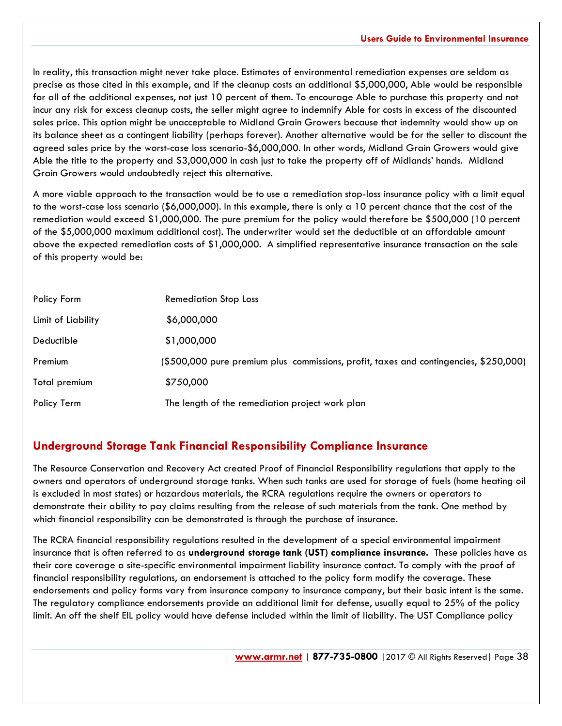In reality, this transaction might never take place. Estimates of environmental remediation expenses are seldom as precise as those cited in this example, and if the cleanup costs an additional \$5,000,000, Able would be responsible for all of the additional expenses, not just 10 percent of them. To encourage Able to purchase this property and not incur any risk for excess cleanup costs, the seller might agree to indemnify Able for costs in excess of the discounted sales price. This option might be unacceptable to Midland Grain Growers because that indemnity would show up on its balance sheet as a contingent liability (perhaps forever). Another alternative would be for the seller to discount the agreed sales price by the worst-case loss scenario-\$6,000,000. In other words, Midland Grain Growers would give Able the title to the property and \$3,000,000 in cash just to take the property off of Midlands' hands. Midland Grain Growers would undoubtedly reject this alternative.

A more viable approach to the transaction would be to use a remediation stop-loss insurance policy with a limit equal to the worst-case loss scenario (\$6,000,000). In this example, there is only a 10 percent chance that the cost of the remediation would exceed \$1,000,000. The pure premium for the policy would therefore be \$500,000 (10 percent of the \$5,000,000 maximum additional cost). The underwriter would set the deductible at an affordable amount above the expected remediation costs of \$1,000,000. A simplified representative insurance transaction on the sale of this property would be:

| Policy Form        | <b>Remediation Stop Loss</b>                                                          |
|--------------------|---------------------------------------------------------------------------------------|
| Limit of Liability | \$6,000,000                                                                           |
| Deductible         | \$1,000,000                                                                           |
| Premium            | (\$500,000 pure premium plus commissions, profit, taxes and contingencies, \$250,000) |
| Total premium      | \$750,000                                                                             |
| Policy Term        | The length of the remediation project work plan                                       |

## **Underground Storage Tank Financial Responsibility Compliance Insurance**

The Resource Conservation and Recovery Act created Proof of Financial Responsibility regulations that apply to the owners and operators of underground storage tanks. When such tanks are used for storage of fuels (home heating oil is excluded in most states) or hazardous materials, the RCRA regulations require the owners or operators to demonstrate their ability to pay claims resulting from the release of such materials from the tank. One method by which financial responsibility can be demonstrated is through the purchase of insurance.

The RCRA financial responsibility regulations resulted in the development of a special environmental impairment insurance that is often referred to as **underground storage tank (UST) compliance insurance.** These policies have as their core coverage a site-specific environmental impairment liability insurance contact. To comply with the proof of financial responsibility regulations, an endorsement is attached to the policy form modify the coverage. These endorsements and policy forms vary from insurance company to insurance company, but their basic intent is the same. The regulatory compliance endorsements provide an additional limit for defense, usually equal to 25% of the policy limit. An off the shelf EIL policy would have defense included within the limit of liability. The UST Compliance policy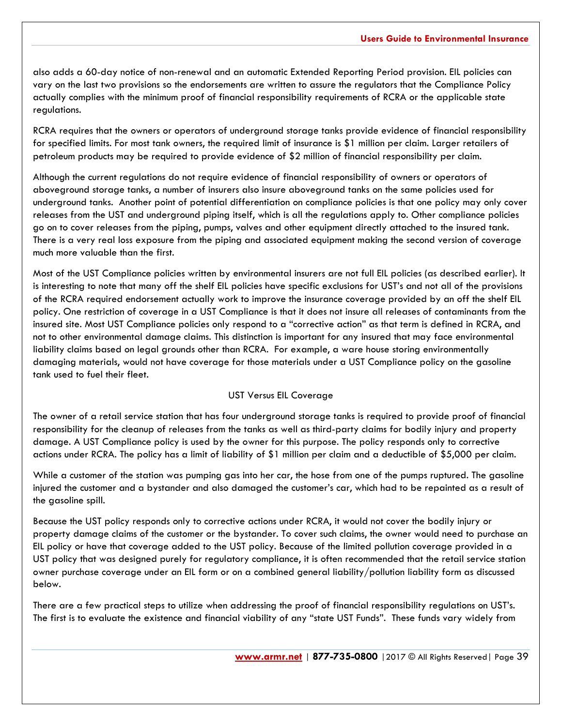also adds a 60-day notice of non-renewal and an automatic Extended Reporting Period provision. EIL policies can vary on the last two provisions so the endorsements are written to assure the regulators that the Compliance Policy actually complies with the minimum proof of financial responsibility requirements of RCRA or the applicable state regulations.

RCRA requires that the owners or operators of underground storage tanks provide evidence of financial responsibility for specified limits. For most tank owners, the required limit of insurance is \$1 million per claim. Larger retailers of petroleum products may be required to provide evidence of \$2 million of financial responsibility per claim.

Although the current regulations do not require evidence of financial responsibility of owners or operators of aboveground storage tanks, a number of insurers also insure aboveground tanks on the same policies used for underground tanks. Another point of potential differentiation on compliance policies is that one policy may only cover releases from the UST and underground piping itself, which is all the regulations apply to. Other compliance policies go on to cover releases from the piping, pumps, valves and other equipment directly attached to the insured tank. There is a very real loss exposure from the piping and associated equipment making the second version of coverage much more valuable than the first.

Most of the UST Compliance policies written by environmental insurers are not full EIL policies (as described earlier). It is interesting to note that many off the shelf EIL policies have specific exclusions for UST's and not all of the provisions of the RCRA required endorsement actually work to improve the insurance coverage provided by an off the shelf EIL policy. One restriction of coverage in a UST Compliance is that it does not insure all releases of contaminants from the insured site. Most UST Compliance policies only respond to a "corrective action" as that term is defined in RCRA, and not to other environmental damage claims. This distinction is important for any insured that may face environmental liability claims based on legal grounds other than RCRA. For example, a ware house storing environmentally damaging materials, would not have coverage for those materials under a UST Compliance policy on the gasoline tank used to fuel their fleet.

#### UST Versus EIL Coverage

The owner of a retail service station that has four underground storage tanks is required to provide proof of financial responsibility for the cleanup of releases from the tanks as well as third-party claims for bodily injury and property damage. A UST Compliance policy is used by the owner for this purpose. The policy responds only to corrective actions under RCRA. The policy has a limit of liability of \$1 million per claim and a deductible of \$5,000 per claim.

While a customer of the station was pumping gas into her car, the hose from one of the pumps ruptured. The gasoline injured the customer and a bystander and also damaged the customer's car, which had to be repainted as a result of the gasoline spill.

Because the UST policy responds only to corrective actions under RCRA, it would not cover the bodily injury or property damage claims of the customer or the bystander. To cover such claims, the owner would need to purchase an EIL policy or have that coverage added to the UST policy. Because of the limited pollution coverage provided in a UST policy that was designed purely for regulatory compliance, it is often recommended that the retail service station owner purchase coverage under an EIL form or on a combined general liability/pollution liability form as discussed below.

There are a few practical steps to utilize when addressing the proof of financial responsibility regulations on UST's. The first is to evaluate the existence and financial viability of any "state UST Funds". These funds vary widely from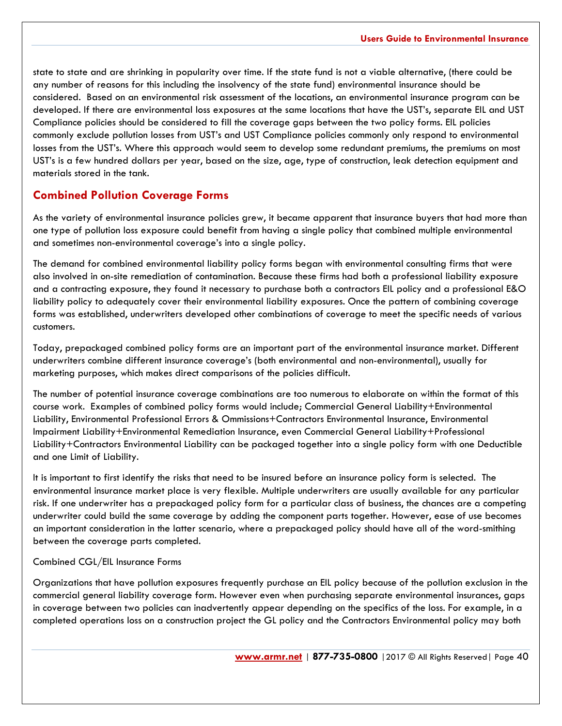state to state and are shrinking in popularity over time. If the state fund is not a viable alternative, (there could be any number of reasons for this including the insolvency of the state fund) environmental insurance should be considered. Based on an environmental risk assessment of the locations, an environmental insurance program can be developed. If there are environmental loss exposures at the same locations that have the UST's, separate EIL and UST Compliance policies should be considered to fill the coverage gaps between the two policy forms. EIL policies commonly exclude pollution losses from UST's and UST Compliance policies commonly only respond to environmental losses from the UST's. Where this approach would seem to develop some redundant premiums, the premiums on most UST's is a few hundred dollars per year, based on the size, age, type of construction, leak detection equipment and materials stored in the tank.

## **Combined Pollution Coverage Forms**

As the variety of environmental insurance policies grew, it became apparent that insurance buyers that had more than one type of pollution loss exposure could benefit from having a single policy that combined multiple environmental and sometimes non-environmental coverage's into a single policy.

The demand for combined environmental liability policy forms began with environmental consulting firms that were also involved in on-site remediation of contamination. Because these firms had both a professional liability exposure and a contracting exposure, they found it necessary to purchase both a contractors EIL policy and a professional E&O liability policy to adequately cover their environmental liability exposures. Once the pattern of combining coverage forms was established, underwriters developed other combinations of coverage to meet the specific needs of various customers.

Today, prepackaged combined policy forms are an important part of the environmental insurance market. Different underwriters combine different insurance coverage's (both environmental and non-environmental), usually for marketing purposes, which makes direct comparisons of the policies difficult.

The number of potential insurance coverage combinations are too numerous to elaborate on within the format of this course work. Examples of combined policy forms would include; Commercial General Liability+Environmental Liability, Environmental Professional Errors & Ommissions+Contractors Environmental Insurance, Environmental Impairment Liability+Environmental Remediation Insurance, even Commercial General Liability+Professional Liability+Contractors Environmental Liability can be packaged together into a single policy form with one Deductible and one Limit of Liability.

It is important to first identify the risks that need to be insured before an insurance policy form is selected. The environmental insurance market place is very flexible. Multiple underwriters are usually available for any particular risk. If one underwriter has a prepackaged policy form for a particular class of business, the chances are a competing underwriter could build the same coverage by adding the component parts together. However, ease of use becomes an important consideration in the latter scenario, where a prepackaged policy should have all of the word-smithing between the coverage parts completed.

#### Combined CGL/EIL Insurance Forms

Organizations that have pollution exposures frequently purchase an EIL policy because of the pollution exclusion in the commercial general liability coverage form. However even when purchasing separate environmental insurances, gaps in coverage between two policies can inadvertently appear depending on the specifics of the loss. For example, in a completed operations loss on a construction project the GL policy and the Contractors Environmental policy may both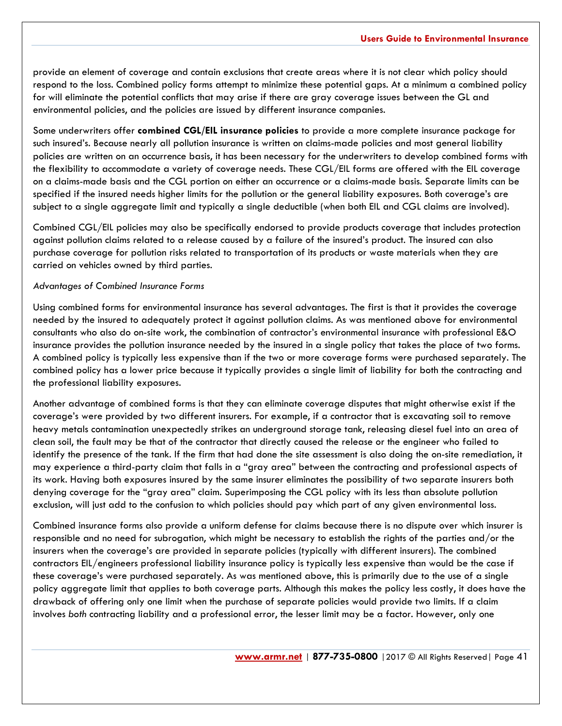provide an element of coverage and contain exclusions that create areas where it is not clear which policy should respond to the loss. Combined policy forms attempt to minimize these potential gaps. At a minimum a combined policy for will eliminate the potential conflicts that may arise if there are gray coverage issues between the GL and environmental policies, and the policies are issued by different insurance companies.

Some underwriters offer **combined CGL/EIL insurance policies** to provide a more complete insurance package for such insured's. Because nearly all pollution insurance is written on claims-made policies and most general liability policies are written on an occurrence basis, it has been necessary for the underwriters to develop combined forms with the flexibility to accommodate a variety of coverage needs. These CGL/EIL forms are offered with the EIL coverage on a claims-made basis and the CGL portion on either an occurrence or a claims-made basis. Separate limits can be specified if the insured needs higher limits for the pollution or the general liability exposures. Both coverage's are subject to a single aggregate limit and typically a single deductible (when both EIL and CGL claims are involved).

Combined CGL/EIL policies may also be specifically endorsed to provide products coverage that includes protection against pollution claims related to a release caused by a failure of the insured's product. The insured can also purchase coverage for pollution risks related to transportation of its products or waste materials when they are carried on vehicles owned by third parties.

#### *Advantages of Combined Insurance Forms*

Using combined forms for environmental insurance has several advantages. The first is that it provides the coverage needed by the insured to adequately protect it against pollution claims. As was mentioned above for environmental consultants who also do on-site work, the combination of contractor's environmental insurance with professional E&O insurance provides the pollution insurance needed by the insured in a single policy that takes the place of two forms. A combined policy is typically less expensive than if the two or more coverage forms were purchased separately. The combined policy has a lower price because it typically provides a single limit of liability for both the contracting and the professional liability exposures.

Another advantage of combined forms is that they can eliminate coverage disputes that might otherwise exist if the coverage's were provided by two different insurers. For example, if a contractor that is excavating soil to remove heavy metals contamination unexpectedly strikes an underground storage tank, releasing diesel fuel into an area of clean soil, the fault may be that of the contractor that directly caused the release or the engineer who failed to identify the presence of the tank. If the firm that had done the site assessment is also doing the on-site remediation, it may experience a third-party claim that falls in a "gray area" between the contracting and professional aspects of its work. Having both exposures insured by the same insurer eliminates the possibility of two separate insurers both denying coverage for the "gray area" claim. Superimposing the CGL policy with its less than absolute pollution exclusion, will just add to the confusion to which policies should pay which part of any given environmental loss.

Combined insurance forms also provide a uniform defense for claims because there is no dispute over which insurer is responsible and no need for subrogation, which might be necessary to establish the rights of the parties and/or the insurers when the coverage's are provided in separate policies (typically with different insurers). The combined contractors EIL/engineers professional liability insurance policy is typically less expensive than would be the case if these coverage's were purchased separately. As was mentioned above, this is primarily due to the use of a single policy aggregate limit that applies to both coverage parts. Although this makes the policy less costly, it does have the drawback of offering only one limit when the purchase of separate policies would provide two limits. If a claim involves *both* contracting liability and a professional error, the lesser limit may be a factor. However, only one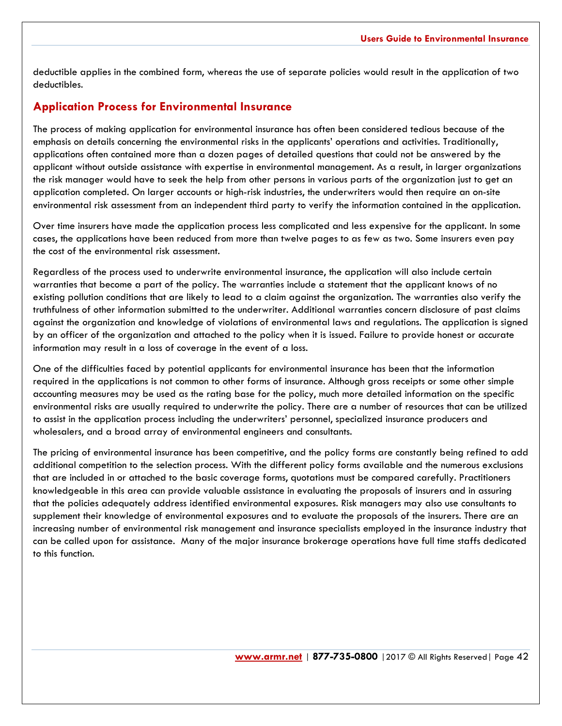deductible applies in the combined form, whereas the use of separate policies would result in the application of two deductibles.

## **Application Process for Environmental Insurance**

The process of making application for environmental insurance has often been considered tedious because of the emphasis on details concerning the environmental risks in the applicants' operations and activities. Traditionally, applications often contained more than a dozen pages of detailed questions that could not be answered by the applicant without outside assistance with expertise in environmental management. As a result, in larger organizations the risk manager would have to seek the help from other persons in various parts of the organization just to get an application completed. On larger accounts or high-risk industries, the underwriters would then require an on-site environmental risk assessment from an independent third party to verify the information contained in the application.

Over time insurers have made the application process less complicated and less expensive for the applicant. In some cases, the applications have been reduced from more than twelve pages to as few as two. Some insurers even pay the cost of the environmental risk assessment.

Regardless of the process used to underwrite environmental insurance, the application will also include certain warranties that become a part of the policy. The warranties include a statement that the applicant knows of no existing pollution conditions that are likely to lead to a claim against the organization. The warranties also verify the truthfulness of other information submitted to the underwriter. Additional warranties concern disclosure of past claims against the organization and knowledge of violations of environmental laws and regulations. The application is signed by an officer of the organization and attached to the policy when it is issued. Failure to provide honest or accurate information may result in a loss of coverage in the event of a loss.

One of the difficulties faced by potential applicants for environmental insurance has been that the information required in the applications is not common to other forms of insurance. Although gross receipts or some other simple accounting measures may be used as the rating base for the policy, much more detailed information on the specific environmental risks are usually required to underwrite the policy. There are a number of resources that can be utilized to assist in the application process including the underwriters' personnel, specialized insurance producers and wholesalers, and a broad array of environmental engineers and consultants.

The pricing of environmental insurance has been competitive, and the policy forms are constantly being refined to add additional competition to the selection process. With the different policy forms available and the numerous exclusions that are included in or attached to the basic coverage forms, quotations must be compared carefully. Practitioners knowledgeable in this area can provide valuable assistance in evaluating the proposals of insurers and in assuring that the policies adequately address identified environmental exposures. Risk managers may also use consultants to supplement their knowledge of environmental exposures and to evaluate the proposals of the insurers. There are an increasing number of environmental risk management and insurance specialists employed in the insurance industry that can be called upon for assistance. Many of the major insurance brokerage operations have full time staffs dedicated to this function.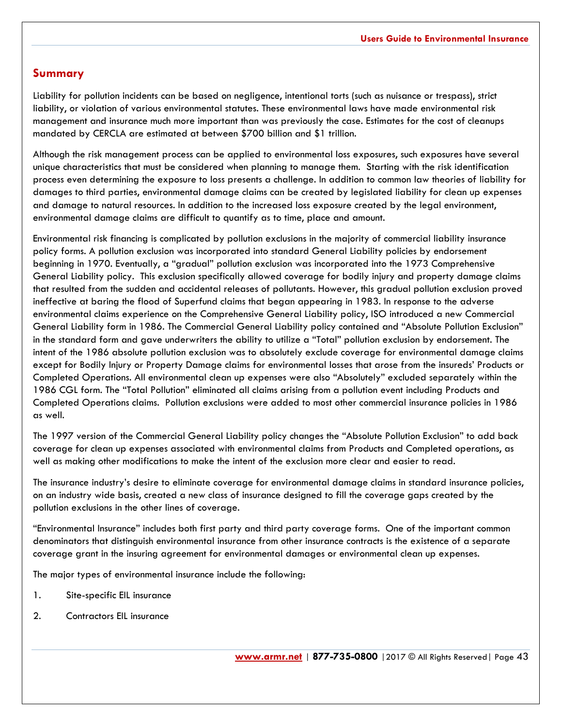## **Summary**

Liability for pollution incidents can be based on negligence, intentional torts (such as nuisance or trespass), strict liability, or violation of various environmental statutes. These environmental laws have made environmental risk management and insurance much more important than was previously the case. Estimates for the cost of cleanups mandated by CERCLA are estimated at between \$700 billion and \$1 trillion.

Although the risk management process can be applied to environmental loss exposures, such exposures have several unique characteristics that must be considered when planning to manage them. Starting with the risk identification process even determining the exposure to loss presents a challenge. In addition to common law theories of liability for damages to third parties, environmental damage claims can be created by legislated liability for clean up expenses and damage to natural resources. In addition to the increased loss exposure created by the legal environment, environmental damage claims are difficult to quantify as to time, place and amount.

Environmental risk financing is complicated by pollution exclusions in the majority of commercial liability insurance policy forms. A pollution exclusion was incorporated into standard General Liability policies by endorsement beginning in 1970. Eventually, a "gradual" pollution exclusion was incorporated into the 1973 Comprehensive General Liability policy. This exclusion specifically allowed coverage for bodily injury and property damage claims that resulted from the sudden and accidental releases of pollutants. However, this gradual pollution exclusion proved ineffective at baring the flood of Superfund claims that began appearing in 1983. In response to the adverse environmental claims experience on the Comprehensive General Liability policy, ISO introduced a new Commercial General Liability form in 1986. The Commercial General Liability policy contained and "Absolute Pollution Exclusion" in the standard form and gave underwriters the ability to utilize a "Total" pollution exclusion by endorsement. The intent of the 1986 absolute pollution exclusion was to absolutely exclude coverage for environmental damage claims except for Bodily Injury or Property Damage claims for environmental losses that arose from the insureds' Products or Completed Operations. All environmental clean up expenses were also "Absolutely" excluded separately within the 1986 CGL form. The "Total Pollution" eliminated all claims arising from a pollution event including Products and Completed Operations claims. Pollution exclusions were added to most other commercial insurance policies in 1986 as well.

The 1997 version of the Commercial General Liability policy changes the "Absolute Pollution Exclusion" to add back coverage for clean up expenses associated with environmental claims from Products and Completed operations, as well as making other modifications to make the intent of the exclusion more clear and easier to read.

The insurance industry's desire to eliminate coverage for environmental damage claims in standard insurance policies, on an industry wide basis, created a new class of insurance designed to fill the coverage gaps created by the pollution exclusions in the other lines of coverage.

"Environmental Insurance" includes both first party and third party coverage forms. One of the important common denominators that distinguish environmental insurance from other insurance contracts is the existence of a separate coverage grant in the insuring agreement for environmental damages or environmental clean up expenses.

The major types of environmental insurance include the following:

- 1. Site-specific EIL insurance
- 2. Contractors EIL insurance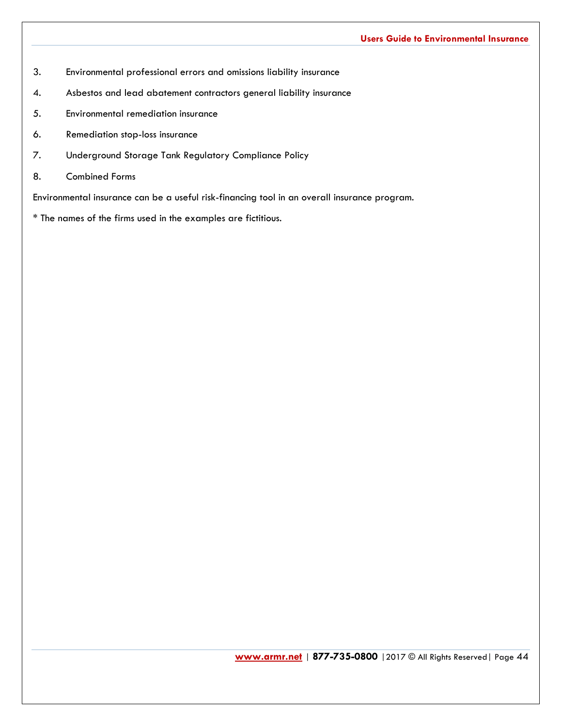- 3. Environmental professional errors and omissions liability insurance
- 4. Asbestos and lead abatement contractors general liability insurance
- 5. Environmental remediation insurance
- 6. Remediation stop-loss insurance
- 7. Underground Storage Tank Regulatory Compliance Policy
- 8. Combined Forms

Environmental insurance can be a useful risk-financing tool in an overall insurance program.

\* The names of the firms used in the examples are fictitious.